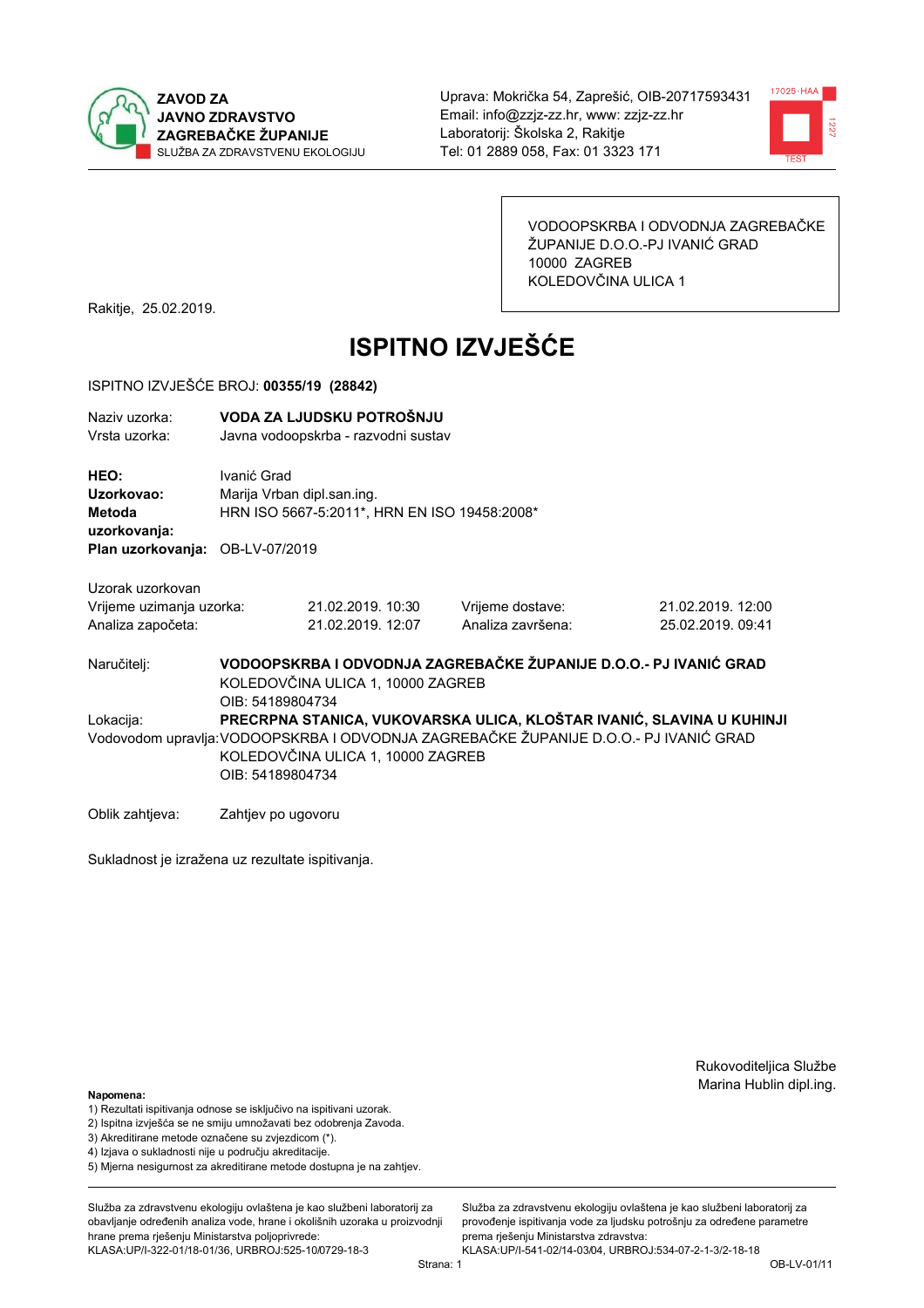



VODOOPSKRBA I ODVODNJA ZAGREBAČKE ŽUPANIJE D.O.O.-PJ IVANIĆ GRAD 10000 ZAGREB KOLEDOVČINA ULICA 1

Rakitje, 25.02.2019.

# **ISPITNO IZVJEŠĆE**

### ISPITNO IZVJEŠĆE BROJ: 00355/19 (28842)

| Naziv uzorka:<br>Vrsta uzorka:                                           |                                                                                                                                                                                                                         | VODA ZA LJUDSKU POTROŠNJU<br>Javna vodoopskrba - razvodni sustav                            |                                       |                                                                   |  |  |
|--------------------------------------------------------------------------|-------------------------------------------------------------------------------------------------------------------------------------------------------------------------------------------------------------------------|---------------------------------------------------------------------------------------------|---------------------------------------|-------------------------------------------------------------------|--|--|
| HEO:<br>Uzorkovao:<br><b>Metoda</b><br>uzorkovanja:<br>Plan uzorkovanja: | Ivanić Grad                                                                                                                                                                                                             | Marija Vrban dipl.san.ing.<br>HRN ISO 5667-5:2011*, HRN EN ISO 19458:2008*<br>OB-LV-07/2019 |                                       |                                                                   |  |  |
| Uzorak uzorkovan<br>Vrijeme uzimanja uzorka:<br>Analiza započeta:        |                                                                                                                                                                                                                         | 21.02.2019. 10:30<br>21.02.2019. 12:07                                                      | Vrijeme dostave:<br>Analiza završena: | 21.02.2019.12:00<br>25.02.2019. 09:41                             |  |  |
| Naručitelj:                                                              | OIB: 54189804734                                                                                                                                                                                                        | KOLEDOVČINA ULICA 1, 10000 ZAGREB                                                           |                                       | VODOOPSKRBA I ODVODNJA ZAGREBAČKE ŽUPANIJE D.O.O.- PJ IVANIĆ GRAD |  |  |
| Lokacija:                                                                | PRECRPNA STANICA, VUKOVARSKA ULICA, KLOŠTAR IVANIĆ, SLAVINA U KUHINJI<br>Vodovodom upravlja: VODOOPSKRBA I ODVODNJA ZAGREBAČKE ŽUPANIJE D.O.O.- PJ IVANIĆ GRAD<br>KOLEDOVČINA ULICA 1, 10000 ZAGREB<br>OIB: 54189804734 |                                                                                             |                                       |                                                                   |  |  |
| Oblik zahtjeva:                                                          | Zahtjev po ugovoru                                                                                                                                                                                                      |                                                                                             |                                       |                                                                   |  |  |

Sukladnost je izražena uz rezultate ispitivanja.

Rukovoditeljica Službe Marina Hublin dipl.ing.

#### Napomena:

- 1) Rezultati ispitivanja odnose se isključivo na ispitivani uzorak.
- 2) Ispitna izvješća se ne smiju umnožavati bez odobrenja Zavoda.
- 3) Akreditirane metode označene su zvjezdicom (\*).
- 4) Iziava o sukladnosti nije u području akreditacije.
- 5) Mjerna nesigurnost za akreditirane metode dostupna je na zahtjev.

Služba za zdravstvenu ekologiju ovlaštena je kao službeni laboratorij za obavlianie određenih analiza vode, hrane i okolišnih uzoraka u proizvodniji hrane prema rješenju Ministarstva poljoprivrede: KLASA:UP/I-322-01/18-01/36, URBROJ:525-10/0729-18-3

Služba za zdravstvenu ekologiju ovlaštena je kao službeni laboratorij za provođenie ispitivania vode za liudsku potrošniu za određene parametre prema rješenju Ministarstva zdravstva:

KLASA:UP/I-541-02/14-03/04, URBROJ:534-07-2-1-3/2-18-18 Strana: 1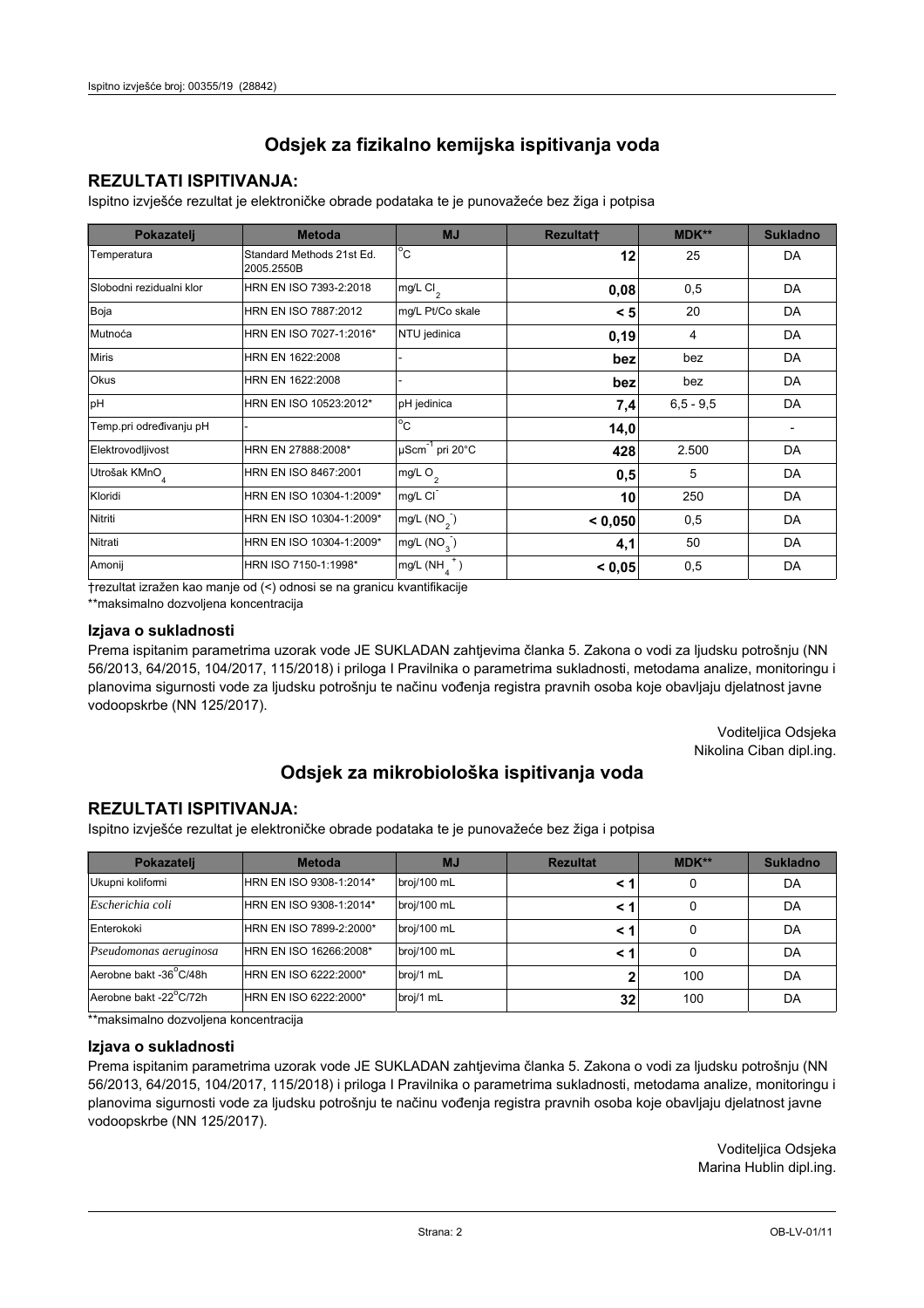### **REZULTATI ISPITIVANJA:**

Ispitno izviešće rezultat je elektroničke obrade podataka te je punovažeće bez žiga i potpisa

| Pokazatelj                | <b>Metoda</b>                           | <b>MJ</b>               | <b>Rezultatt</b> | MDK**         | <b>Sukladno</b> |
|---------------------------|-----------------------------------------|-------------------------|------------------|---------------|-----------------|
| Temperatura               | Standard Methods 21st Ed.<br>2005.2550B | $^{\circ}$ C            | 12               | 25            | DA              |
| Slobodni rezidualni klor  | HRN EN ISO 7393-2:2018                  | $mg/L$ Cl <sub>2</sub>  | 0,08             | 0,5           | DA              |
| Boja                      | HRN EN ISO 7887:2012                    | mg/L Pt/Co skale        | < 5              | 20            | DA              |
| Mutnoća                   | HRN EN ISO 7027-1:2016*                 | NTU jedinica            | 0, 19            | 4             | DA              |
| <b>Miris</b>              | HRN EN 1622:2008                        |                         | bez              | bez           | DA              |
| Okus                      | HRN EN 1622:2008                        |                         | bez              | bez           | DA              |
| pH                        | HRN EN ISO 10523:2012*                  | pH jedinica             | 7,4              | $6, 5 - 9, 5$ | DA              |
| Temp.pri određivanju pH   |                                         | $^{\circ}$ C            | 14,0             |               |                 |
| Elektrovodljivost         | HRN EN 27888:2008*                      | µScm-1 pri 20°C         | 428              | 2.500         | DA              |
| Utrošak KMnO <sub>4</sub> | HRN EN ISO 8467:2001                    | mg/L O <sub>2</sub>     | 0,5              | 5             | DA              |
| Kloridi                   | HRN EN ISO 10304-1:2009*                | mg/L CI                 | 10               | 250           | DA              |
| Nitriti                   | HRN EN ISO 10304-1:2009*                | mg/L $(NO2)$            | < 0.050          | 0,5           | DA              |
| Nitrati                   | HRN EN ISO 10304-1:2009*                | mg/L (NO <sub>3</sub> ) | 4,1              | 50            | DA              |
| Amonij                    | HRN ISO 7150-1:1998*                    | mg/L (NH                | < 0.05           | 0,5           | DA              |

trezultat izražen kao manje od (<) odnosi se na granicu kvantifikacije

\*\*maksimalno dozvoljena koncentracija

### Izjava o sukladnosti

Prema ispitanim parametrima uzorak vode JE SUKLADAN zahtievima članka 5. Zakona o vodi za ljudsku potrošnju (NN 56/2013, 64/2015, 104/2017, 115/2018) i priloga I Pravilnika o parametrima sukladnosti, metodama analize, monitoringu i planovima sigurnosti vode za ljudsku potrošnju te načinu vođenja registra pravnih osoba koje obavljaju djelatnost javne vodoopskrbe (NN 125/2017).

> Voditeljica Odsjeka Nikolina Ciban dipl.ing.

## Odsjek za mikrobiološka ispitivanja voda

### **REZULTATI ISPITIVANJA:**

Ispitno izvješće rezultat je elektroničke obrade podataka te je punovažeće bez žiga i potpisa

| Pokazatelj             | <b>Metoda</b>           | <b>MJ</b>   | <b>Rezultat</b> | <b>MDK**</b> | <b>Sukladno</b> |
|------------------------|-------------------------|-------------|-----------------|--------------|-----------------|
| Ukupni kolifomi        | HRN EN ISO 9308-1:2014* | broj/100 mL |                 | 0            | DA              |
| Escherichia coli       | HRN EN ISO 9308-1:2014* | broj/100 mL | < 1             | 0            | DA              |
| Enterokoki             | HRN EN ISO 7899-2:2000* | broj/100 mL | < '             |              | DA              |
| Pseudomonas aeruginosa | HRN EN ISO 16266:2008*  | broj/100 mL | < 1             | 0            | DA              |
| Aerobne bakt -36 C/48h | HRN EN ISO 6222:2000*   | broj/1 mL   |                 | 100          | DA              |
| Aerobne bakt -22°C/72h | HRN EN ISO 6222:2000*   | broj/1 mL   | 32 <sub>l</sub> | 100          | DA              |

\*\* maksimalno dozvoljena koncentracija

### Izjava o sukladnosti

Prema ispitanim parametrima uzorak vode JE SUKLADAN zahtjevima članka 5. Zakona o vodi za ljudsku potrošnju (NN 56/2013, 64/2015, 104/2017, 115/2018) i priloga I Pravilnika o parametrima sukladnosti, metodama analize, monitoringu i planovima sigurnosti vode za ljudsku potrošnju te načinu vođenja registra pravnih osoba koje obavljaju djelatnost javne vodoopskrbe (NN 125/2017).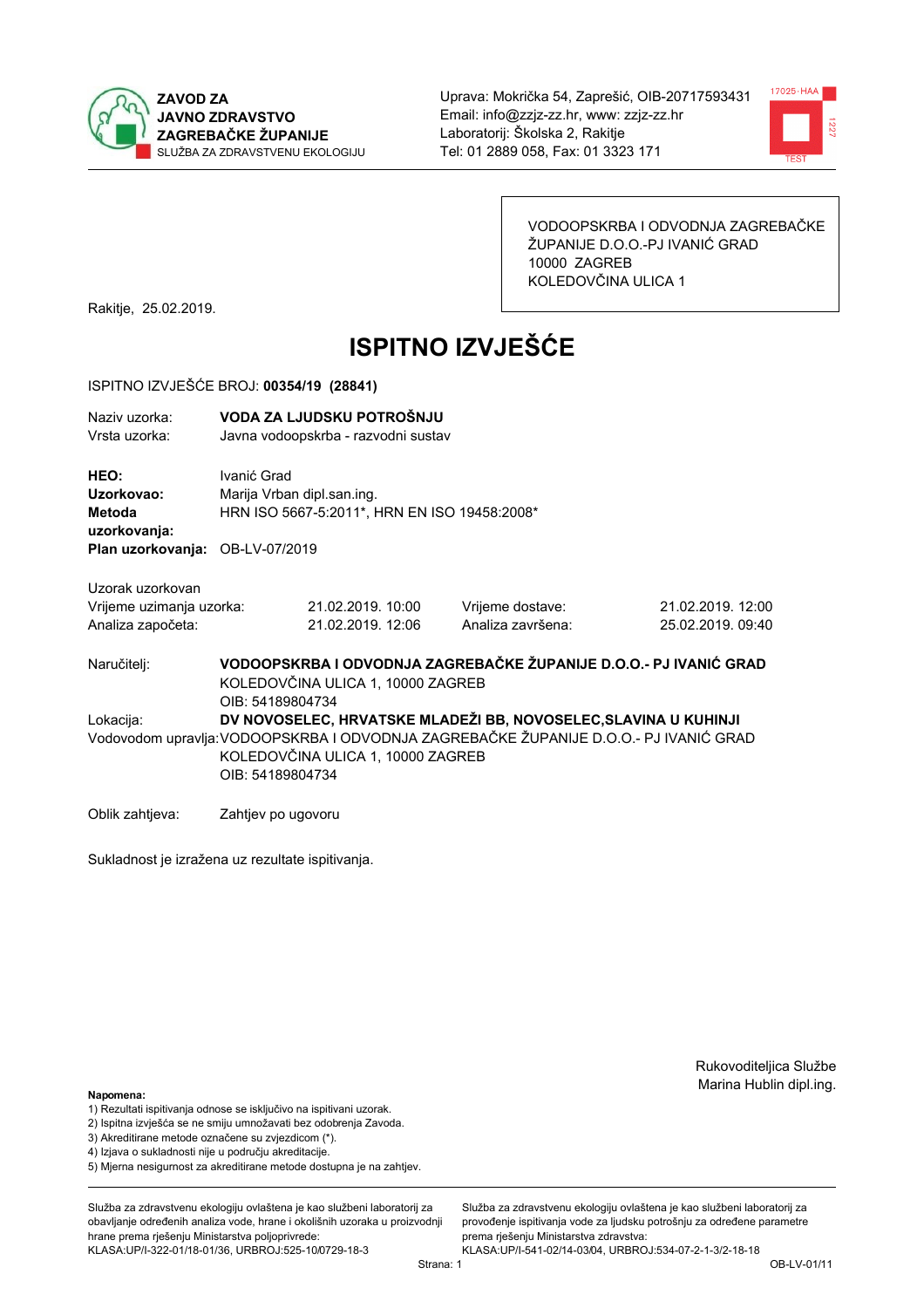



VODOOPSKRBA I ODVODNJA ZAGREBAČKE ŽUPANIJE D.O.O.-PJ IVANIĆ GRAD 10000 ZAGREB KOLEDOVČINA ULICA 1

Rakitje, 25.02.2019.

# **ISPITNO IZVJEŠĆE**

### ISPITNO IZVJEŠĆE BROJ: 00354/19 (28841)

| Naziv uzorka:<br>Vrsta uzorka:                                    |                                                                                                                            | VODA ZA LJUDSKU POTROŠNJU<br>Javna vodoopskrba - razvodni sustav           |                                                                                                                                                          |                                        |  |  |
|-------------------------------------------------------------------|----------------------------------------------------------------------------------------------------------------------------|----------------------------------------------------------------------------|----------------------------------------------------------------------------------------------------------------------------------------------------------|----------------------------------------|--|--|
| HEO:<br>Uzorkovao:<br>Metoda<br>uzorkovanja:                      | Ivanić Grad                                                                                                                | Marija Vrban dipl.san.ing.<br>HRN ISO 5667-5:2011*, HRN EN ISO 19458:2008* |                                                                                                                                                          |                                        |  |  |
| Plan uzorkovanja:                                                 | OB-LV-07/2019                                                                                                              |                                                                            |                                                                                                                                                          |                                        |  |  |
| Uzorak uzorkovan<br>Vrijeme uzimanja uzorka:<br>Analiza započeta: |                                                                                                                            | 21.02.2019. 10:00<br>21.02.2019. 12:06                                     | Vrijeme dostave:<br>Analiza završena:                                                                                                                    | 21.02.2019. 12:00<br>25.02.2019. 09:40 |  |  |
| Naručitelj:                                                       | VODOOPSKRBA I ODVODNJA ZAGREBAČKE ŽUPANIJE D.O.O.- PJ IVANIĆ GRAD<br>KOLEDOVČINA ULICA 1, 10000 ZAGREB<br>OIB: 54189804734 |                                                                            |                                                                                                                                                          |                                        |  |  |
| Lokacija:                                                         | OIB: 54189804734                                                                                                           | KOLEDOVČINA ULICA 1, 10000 ZAGREB                                          | DV NOVOSELEC, HRVATSKE MLADEŽI BB, NOVOSELEC, SLAVINA U KUHINJI<br>Vodovodom upravlja: VODOOPSKRBA I ODVODNJA ZAGREBAČKE ŽUPANIJE D.O.O.- PJ IVANIĆ GRAD |                                        |  |  |

Oblik zahtjeva: Zahtjev po ugovoru

Sukladnost je izražena uz rezultate ispitivanja.

Rukovoditeljica Službe Marina Hublin dipl.ing.

#### Napomena:

- 1) Rezultati ispitivanja odnose se isključivo na ispitivani uzorak.
- 2) Ispitna izvješća se ne smiju umnožavati bez odobrenja Zavoda.
- 3) Akreditirane metode označene su zvjezdicom (\*).
- 4) Iziava o sukladnosti nije u području akreditacije.
- 5) Mjerna nesigurnost za akreditirane metode dostupna je na zahtjev.

Služba za zdravstvenu ekologiju ovlaštena je kao službeni laboratorij za obavlianie određenih analiza vode, hrane i okolišnih uzoraka u proizvodniji hrane prema rješenju Ministarstva poljoprivrede: KLASA:UP/I-322-01/18-01/36, URBROJ:525-10/0729-18-3

Služba za zdravstvenu ekologiju ovlaštena je kao službeni laboratorij za provođenie ispitivania vode za liudsku potrošniu za određene parametre prema rješenju Ministarstva zdravstva:

KLASA:UP/I-541-02/14-03/04, URBROJ:534-07-2-1-3/2-18-18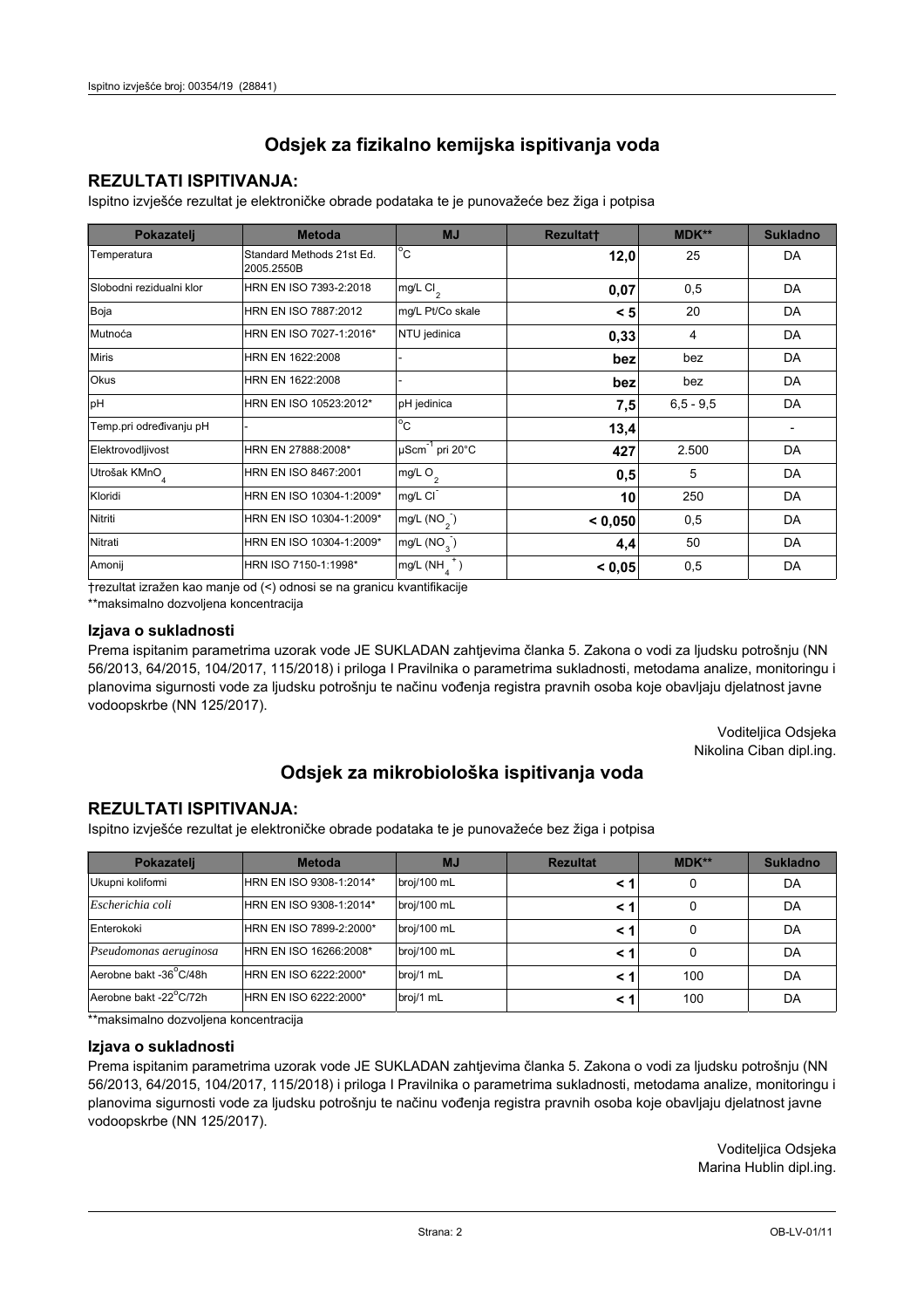### **REZULTATI ISPITIVANJA:**

Ispitno izviešće rezultat je elektroničke obrade podataka te je punovažeće bez žiga i potpisa

| Pokazatelj                | <b>Metoda</b>                           | <b>MJ</b>                   | <b>Rezultatt</b> | MDK**         | <b>Sukladno</b> |
|---------------------------|-----------------------------------------|-----------------------------|------------------|---------------|-----------------|
| Temperatura               | Standard Methods 21st Ed.<br>2005.2550B | $^{\circ}$ C                | 12,0             | 25            | DA              |
| Slobodni rezidualni klor  | HRN EN ISO 7393-2:2018                  | $mg/L$ Cl <sub>2</sub>      | 0,07             | 0,5           | DA              |
| Boja                      | HRN EN ISO 7887:2012                    | mg/L Pt/Co skale            | < 5              | 20            | DA              |
| Mutnoća                   | HRN EN ISO 7027-1:2016*                 | NTU jedinica                | 0,33             | 4             | DA              |
| <b>Miris</b>              | HRN EN 1622:2008                        |                             | bez              | bez           | DA              |
| <b>Okus</b>               | HRN EN 1622:2008                        |                             | bez              | bez           | DA              |
| pH                        | HRN EN ISO 10523:2012*                  | pH jedinica                 | 7,5              | $6, 5 - 9, 5$ | DA              |
| Temp.pri određivanju pH   |                                         | $\overline{C}$              | 13,4             |               |                 |
| Elektrovodljivost         | HRN EN 27888:2008*                      | µScm <sup>-1</sup> pri 20°C | 427              | 2.500         | DA              |
| Utrošak KMnO <sub>4</sub> | HRN EN ISO 8467:2001                    | mg/L O <sub>2</sub>         | 0,5              | 5             | DA              |
| Kloridi                   | HRN EN ISO 10304-1:2009*                | mg/L CI                     | 10               | 250           | DA              |
| Nitriti                   | HRN EN ISO 10304-1:2009*                | mg/L $(NO2)$                | < 0.050          | 0,5           | DA              |
| Nitrati                   | HRN EN ISO 10304-1:2009*                | mg/L (NO <sub>3</sub> )     | 4,4              | 50            | DA              |
| Amonij                    | HRN ISO 7150-1:1998*                    | mg/L (NH                    | < 0,05           | 0,5           | DA              |

trezultat izražen kao manje od (<) odnosi se na granicu kvantifikacije

\*\*maksimalno dozvoljena koncentracija

### Izjava o sukladnosti

Prema ispitanim parametrima uzorak vode JE SUKLADAN zahtievima članka 5. Zakona o vodi za ljudsku potrošnju (NN 56/2013, 64/2015, 104/2017, 115/2018) i priloga I Pravilnika o parametrima sukladnosti, metodama analize, monitoringu i planovima sigurnosti vode za ljudsku potrošnju te načinu vođenja registra pravnih osoba koje obavljaju djelatnost javne vodoopskrbe (NN 125/2017).

> Voditeljica Odsjeka Nikolina Ciban dipl.ing.

## Odsjek za mikrobiološka ispitivanja voda

### **REZULTATI ISPITIVANJA:**

Ispitno izvješće rezultat je elektroničke obrade podataka te je punovažeće bez žiga i potpisa

| Pokazatelj             | <b>Metoda</b>           | <b>MJ</b>   | <b>Rezultat</b> | <b>MDK**</b> | <b>Sukladno</b> |
|------------------------|-------------------------|-------------|-----------------|--------------|-----------------|
| Ukupni kolifomi        | HRN EN ISO 9308-1:2014* | broj/100 mL |                 | 0            | DA              |
| Escherichia coli       | HRN EN ISO 9308-1:2014* | broj/100 mL | < 1             | 0            | DA              |
| Enterokoki             | HRN EN ISO 7899-2:2000* | broj/100 mL | < '             |              | DA              |
| Pseudomonas aeruginosa | HRN EN ISO 16266:2008*  | broj/100 mL | < 1             | 0            | DA              |
| Aerobne bakt -36 C/48h | HRN EN ISO 6222:2000*   | broj/1 mL   | < '             | 100          | DA              |
| Aerobne bakt -22°C/72h | HRN EN ISO 6222:2000*   | broj/1 mL   | < 1             | 100          | DA              |

\*\* maksimalno dozvoljena koncentracija

### Izjava o sukladnosti

Prema ispitanim parametrima uzorak vode JE SUKLADAN zahtjevima članka 5. Zakona o vodi za ljudsku potrošnju (NN 56/2013, 64/2015, 104/2017, 115/2018) i priloga I Pravilnika o parametrima sukladnosti, metodama analize, monitoringu i planovima sigurnosti vode za ljudsku potrošnju te načinu vođenja registra pravnih osoba koje obavljaju djelatnost javne vodoopskrbe (NN 125/2017).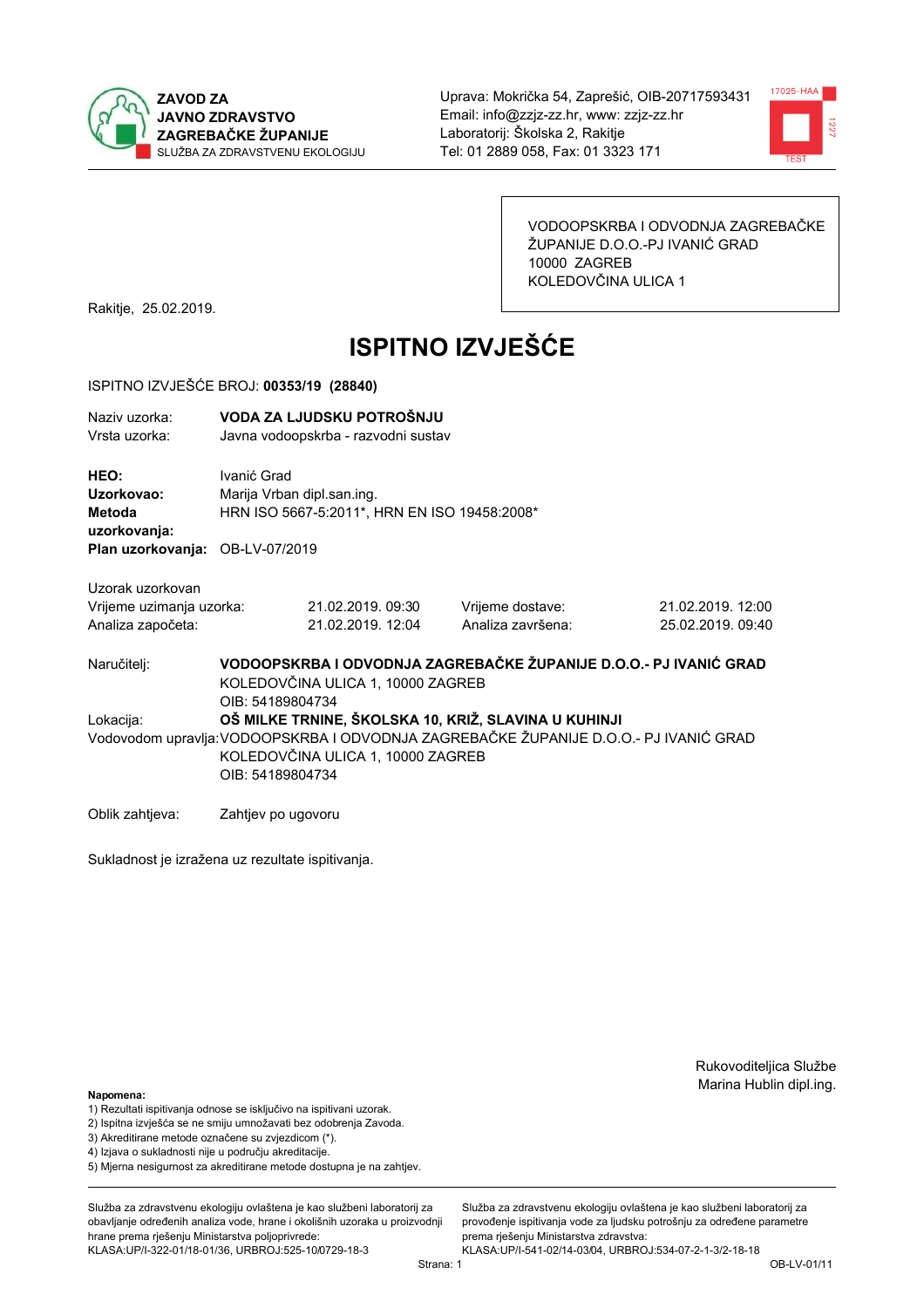



VODOOPSKRBA I ODVODNJA ZAGREBAČKE ŽUPANIJE D.O.O.-PJ IVANIĆ GRAD 10000 ZAGREB KOLEDOVČINA ULICA 1

Rakitje, 25.02.2019.

# **ISPITNO IZVJEŠĆE**

### ISPITNO IZVJEŠĆE BROJ: 00353/19 (28840)

| Naziv uzorka:<br>Vrsta uzorka:                                                  |                                                                                                                                                                                                        | VODA ZA LJUDSKU POTROŠNJU<br>Javna vodoopskrba - razvodni sustav |                                                                   |                                        |  |
|---------------------------------------------------------------------------------|--------------------------------------------------------------------------------------------------------------------------------------------------------------------------------------------------------|------------------------------------------------------------------|-------------------------------------------------------------------|----------------------------------------|--|
| HEO:<br>Uzorkovao:<br>Metoda<br>uzorkovanja:<br>Plan uzorkovanja: OB-LV-07/2019 | Ivanić Grad<br>Marija Vrban dipl.san.ing.<br>HRN ISO 5667-5:2011*, HRN EN ISO 19458:2008*                                                                                                              |                                                                  |                                                                   |                                        |  |
| Uzorak uzorkovan<br>Vrijeme uzimanja uzorka:<br>Analiza započeta:               |                                                                                                                                                                                                        | 21.02.2019. 09:30<br>21.02.2019. 12:04                           | Vrijeme dostave:<br>Analiza završena:                             | 21.02.2019. 12:00<br>25.02.2019. 09:40 |  |
| Naručitelj:                                                                     | OIB: 54189804734                                                                                                                                                                                       | KOLEDOVČINA ULICA 1, 10000 ZAGREB                                | VODOOPSKRBA I ODVODNJA ZAGREBAČKE ŽUPANIJE D.O.O.- PJ IVANIĆ GRAD |                                        |  |
| Lokacija:                                                                       | OŠ MILKE TRNINE, ŠKOLSKA 10, KRIŽ, SLAVINA U KUHINJI<br>Vodovodom upravlja: VODOOPSKRBA I ODVODNJA ZAGREBAČKE ŽUPANIJE D.O.O.- PJ IVANIĆ GRAD<br>KOLEDOVČINA ULICA 1, 10000 ZAGREB<br>OIB: 54189804734 |                                                                  |                                                                   |                                        |  |
| Oblik zahtjeva:                                                                 | Zahtjev po ugovoru                                                                                                                                                                                     |                                                                  |                                                                   |                                        |  |

Sukladnost je izražena uz rezultate ispitivanja.

Rukovoditeljica Službe Marina Hublin dipl.ing.

#### Napomena:

- 1) Rezultati ispitivanja odnose se isključivo na ispitivani uzorak.
- 2) Ispitna izvješća se ne smiju umnožavati bez odobrenja Zavoda.
- 3) Akreditirane metode označene su zvjezdicom (\*).
- 4) Iziava o sukladnosti nije u područiu akreditacije.
- 5) Mjerna nesigurnost za akreditirane metode dostupna je na zahtjev.

Služba za zdravstvenu ekologiju ovlaštena je kao službeni laboratorij za obavljanje određenih analiza vode, hrane i okolišnih uzoraka u proizvodniji hrane prema rješenju Ministarstva poljoprivrede: KLASA:UP/I-322-01/18-01/36, URBROJ:525-10/0729-18-3

Služba za zdravstvenu ekologiju ovlaštena je kao službeni laboratorij za provođenie ispitivania vode za liudsku potrošniu za određene parametre prema rješenju Ministarstva zdravstva:

KLASA:UP/I-541-02/14-03/04, URBROJ:534-07-2-1-3/2-18-18 Strana: 1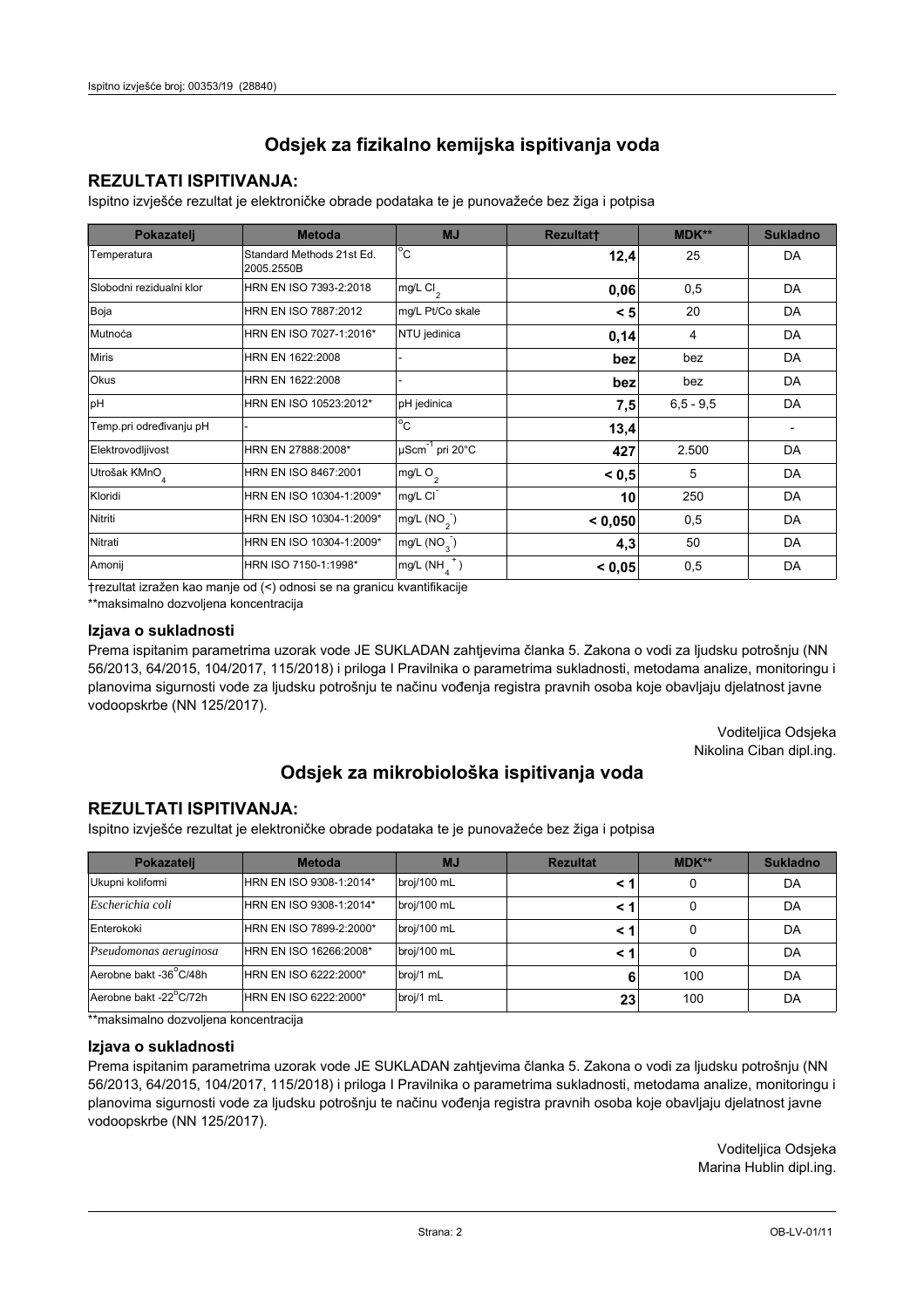### **REZULTATI ISPITIVANJA:**

Ispitno izviešće rezultat je elektroničke obrade podataka te je punovažeće bez žiga i potpisa

| Pokazatelj                | <b>Metoda</b>                           | <b>MJ</b>               | <b>Rezultatt</b> | MDK**         | <b>Sukladno</b> |
|---------------------------|-----------------------------------------|-------------------------|------------------|---------------|-----------------|
| Temperatura               | Standard Methods 21st Ed.<br>2005.2550B | $^{\circ}$ C            | 12,4             | 25            | DA              |
| Slobodni rezidualni klor  | HRN EN ISO 7393-2:2018                  | $mg/L$ Cl <sub>2</sub>  | 0,06             | 0,5           | DA              |
| Boja                      | HRN EN ISO 7887:2012                    | mg/L Pt/Co skale        | < 5              | 20            | DA              |
| Mutnoća                   | HRN EN ISO 7027-1:2016*                 | NTU jedinica            | 0,14             | 4             | DA              |
| <b>Miris</b>              | HRN EN 1622:2008                        |                         | bez              | bez           | DA              |
| Okus                      | HRN EN 1622:2008                        |                         | bez              | bez           | DA              |
| pH                        | HRN EN ISO 10523:2012*                  | pH jedinica             | 7,5              | $6, 5 - 9, 5$ | DA              |
| Temp.pri određivanju pH   |                                         | $^{\circ}$ C            | 13,4             |               |                 |
| Elektrovodljivost         | HRN EN 27888:2008*                      | µScm-1 pri 20°C         | 427              | 2.500         | DA              |
| Utrošak KMnO <sub>4</sub> | HRN EN ISO 8467:2001                    | mg/L O <sub>2</sub>     | < 0.5            | 5             | DA              |
| Kloridi                   | HRN EN ISO 10304-1:2009*                | mg/L CI                 | 10               | 250           | DA              |
| Nitriti                   | HRN EN ISO 10304-1:2009*                | mg/L $(NO2)$            | < 0.050          | 0,5           | DA              |
| Nitrati                   | HRN EN ISO 10304-1:2009*                | mg/L (NO <sub>3</sub> ) | 4,3              | 50            | DA              |
| Amonij                    | HRN ISO 7150-1:1998*                    | mg/L (NH                | < 0,05           | 0,5           | DA              |

trezultat izražen kao manje od (<) odnosi se na granicu kvantifikacije

\*\*maksimalno dozvoljena koncentracija

### Izjava o sukladnosti

Prema ispitanim parametrima uzorak vode JE SUKLADAN zahtievima članka 5. Zakona o vodi za ljudsku potrošnju (NN 56/2013, 64/2015, 104/2017, 115/2018) i priloga I Pravilnika o parametrima sukladnosti, metodama analize, monitoringu i planovima sigurnosti vode za ljudsku potrošnju te načinu vođenja registra pravnih osoba koje obavljaju djelatnost javne vodoopskrbe (NN 125/2017).

> Voditeljica Odsjeka Nikolina Ciban dipl.ing.

## Odsjek za mikrobiološka ispitivanja voda

### **REZULTATI ISPITIVANJA:**

Ispitno izvješće rezultat je elektroničke obrade podataka te je punovažeće bez žiga i potpisa

| Pokazatelj             | <b>Metoda</b>           | <b>MJ</b>   | <b>Rezultat</b> | <b>MDK**</b> | <b>Sukladno</b> |
|------------------------|-------------------------|-------------|-----------------|--------------|-----------------|
| Ukupni kolifomi        | HRN EN ISO 9308-1:2014* | broj/100 mL |                 | 0            | DA              |
| Escherichia coli       | HRN EN ISO 9308-1:2014* | broj/100 mL | < 1             | 0            | DA              |
| Enterokoki             | HRN EN ISO 7899-2:2000* | broj/100 mL | < '             |              | DA              |
| Pseudomonas aeruginosa | HRN EN ISO 16266:2008*  | broj/100 mL | < 1             | 0            | DA              |
| Aerobne bakt -36 C/48h | HRN EN ISO 6222:2000*   | broj/1 mL   | 6               | 100          | DA              |
| Aerobne bakt -22°C/72h | HRN EN ISO 6222:2000*   | broj/1 mL   | 23              | 100          | DA              |

\*\* maksimalno dozvoljena koncentracija

### Izjava o sukladnosti

Prema ispitanim parametrima uzorak vode JE SUKLADAN zahtjevima članka 5. Zakona o vodi za ljudsku potrošnju (NN 56/2013, 64/2015, 104/2017, 115/2018) i priloga I Pravilnika o parametrima sukladnosti, metodama analize, monitoringu i planovima sigurnosti vode za ljudsku potrošnju te načinu vođenja registra pravnih osoba koje obavljaju djelatnost javne vodoopskrbe (NN 125/2017).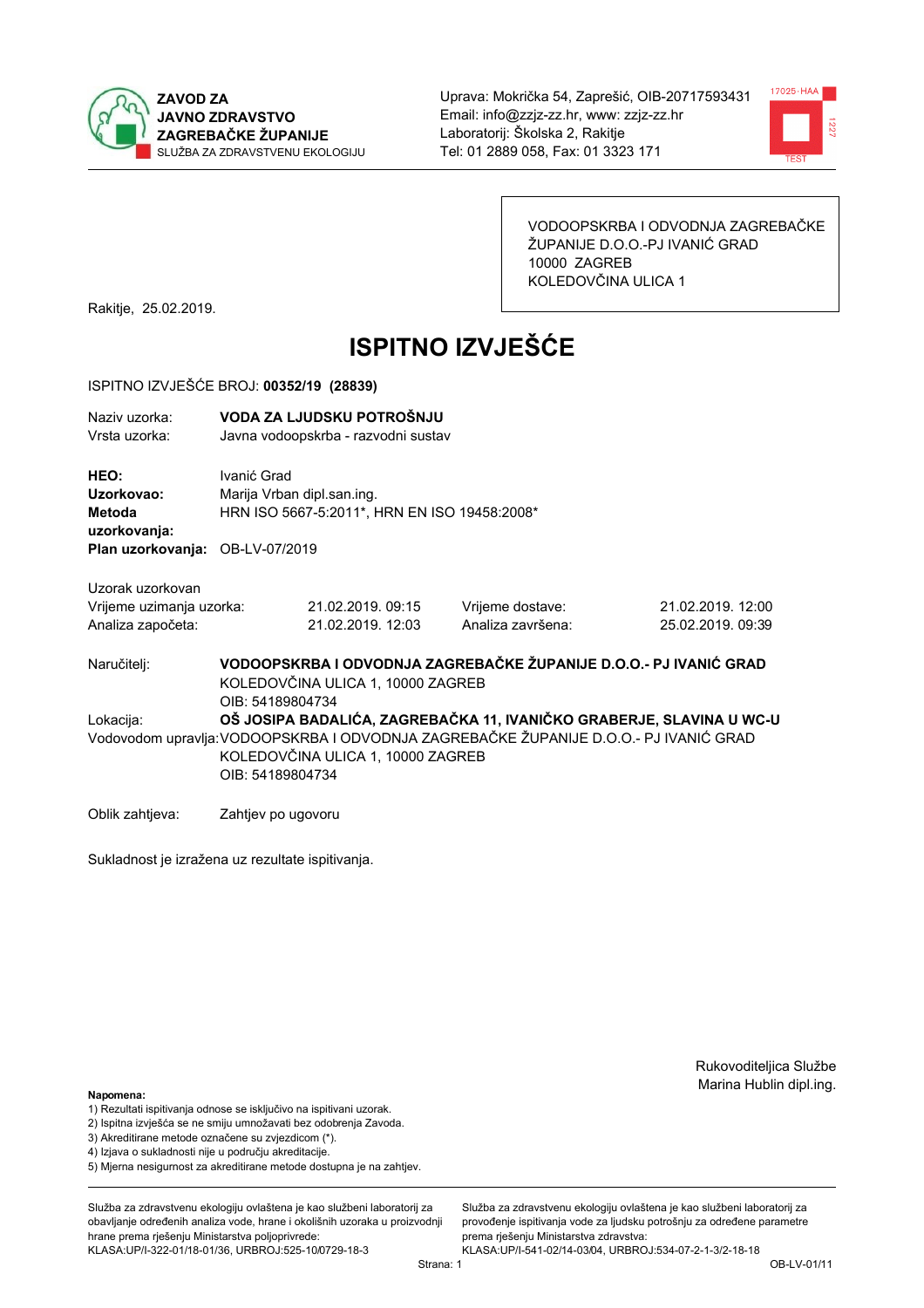



VODOOPSKRBA I ODVODNJA ZAGREBAČKE ŽUPANIJE D.O.O.-PJ IVANIĆ GRAD 10000 ZAGREB KOLEDOVČINA ULICA 1

Rakitje, 25.02.2019.

# **ISPITNO IZVJEŠĆE**

### ISPITNO IZVJEŠĆE BROJ: 00352/19 (28839)

| Naziv uzorka:<br>Vrsta uzorka:                                    |                    | VODA ZA LJUDSKU POTROŠNJU<br>Javna vodoopskrba - razvodni sustav                                                                                                                                                                           |                                                                   |                                        |  |  |
|-------------------------------------------------------------------|--------------------|--------------------------------------------------------------------------------------------------------------------------------------------------------------------------------------------------------------------------------------------|-------------------------------------------------------------------|----------------------------------------|--|--|
| HEO:<br>Uzorkovao:<br>Metoda<br>uzorkovanja:                      | Ivanić Grad        | Marija Vrban dipl.san.ing.<br>HRN ISO 5667-5:2011*, HRN EN ISO 19458:2008*                                                                                                                                                                 |                                                                   |                                        |  |  |
| Plan uzorkovanja: OB-LV-07/2019                                   |                    |                                                                                                                                                                                                                                            |                                                                   |                                        |  |  |
| Uzorak uzorkovan<br>Vrijeme uzimanja uzorka:<br>Analiza započeta: |                    | 21.02.2019.09:15<br>21.02.2019. 12:03                                                                                                                                                                                                      | Vrijeme dostave:<br>Analiza završena:                             | 21.02.2019. 12:00<br>25.02.2019. 09:39 |  |  |
| Naručitelj:                                                       |                    | KOLEDOVČINA ULICA 1, 10000 ZAGREB                                                                                                                                                                                                          | VODOOPSKRBA I ODVODNJA ZAGREBAČKE ŽUPANIJE D.O.O.- PJ IVANIĆ GRAD |                                        |  |  |
| Lokacija:                                                         |                    | OIB: 54189804734<br>OŠ JOSIPA BADALIĆA, ZAGREBAČKA 11, IVANIČKO GRABERJE, SLAVINA U WC-U<br>Vodovodom upravlja: VODOOPSKRBA I ODVODNJA ZAGREBAČKE ŽUPANIJE D.O.O.- PJ IVANIĆ GRAD<br>KOLEDOVČINA ULICA 1, 10000 ZAGREB<br>OIB: 54189804734 |                                                                   |                                        |  |  |
| Oblik zahtieva:                                                   | Zahtjev po ugovoru |                                                                                                                                                                                                                                            |                                                                   |                                        |  |  |

Sukladnost je izražena uz rezultate ispitivanja.

Rukovoditeljica Službe Marina Hublin dipl.ing.

#### Napomena:

- 1) Rezultati ispitivanja odnose se isključivo na ispitivani uzorak.
- 2) Ispitna izvješća se ne smiju umnožavati bez odobrenja Zavoda.
- 3) Akreditirane metode označene su zvjezdicom (\*).
- 4) Iziava o sukladnosti nije u području akreditacije.
- 5) Mjerna nesigurnost za akreditirane metode dostupna je na zahtjev.

Služba za zdravstvenu ekologiju ovlaštena je kao službeni laboratorij za obavlianie određenih analiza vode, hrane i okolišnih uzoraka u proizvodniji hrane prema rješenju Ministarstva poljoprivrede: KLASA:UP/I-322-01/18-01/36, URBROJ:525-10/0729-18-3

Služba za zdravstvenu ekologiju ovlaštena je kao službeni laboratorij za provođenie ispitivania vode za liudsku potrošniu za određene parametre prema rješenju Ministarstva zdravstva:

KLASA:UP/I-541-02/14-03/04, URBROJ:534-07-2-1-3/2-18-18 Strana: 1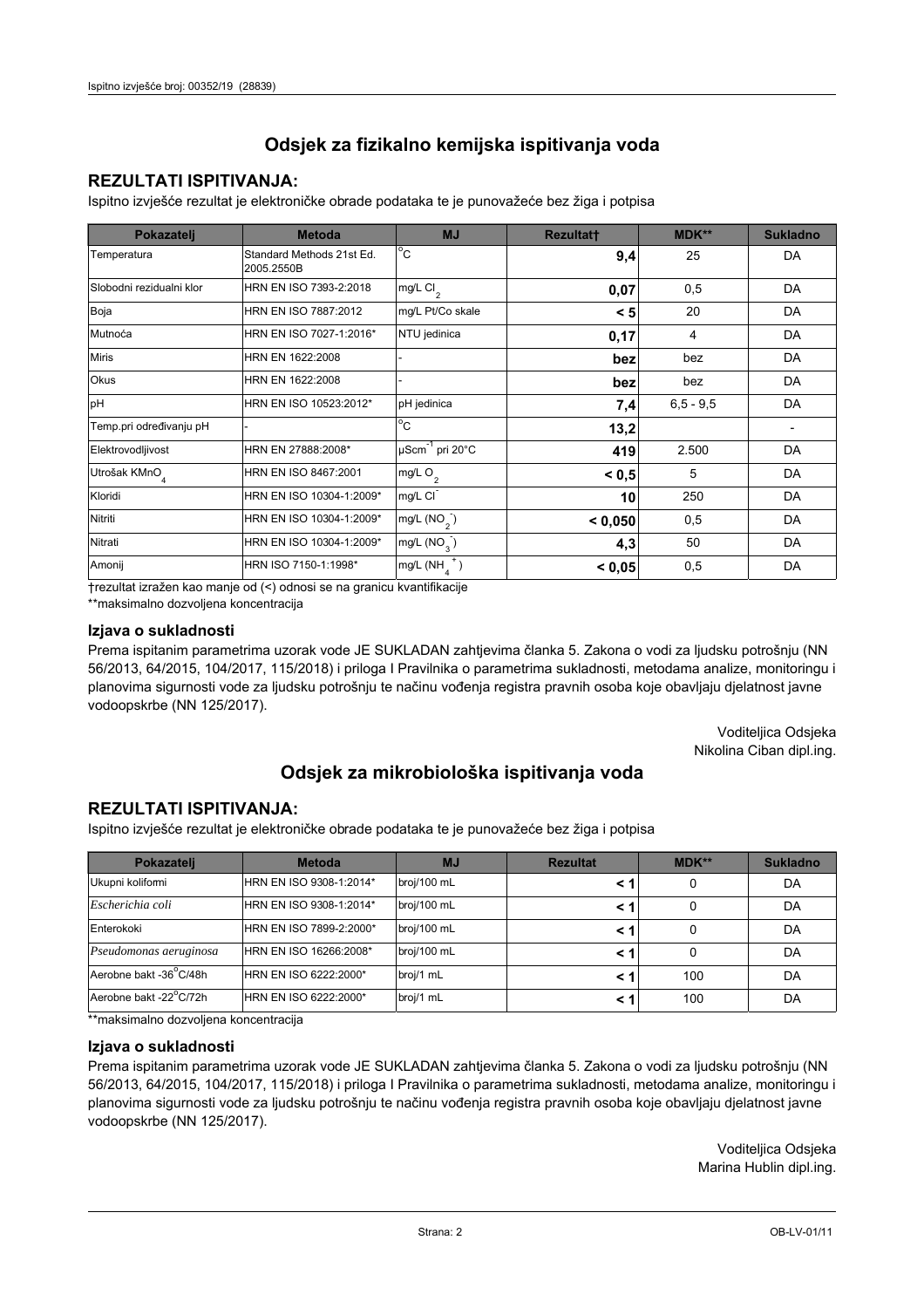### **REZULTATI ISPITIVANJA:**

Ispitno izviešće rezultat je elektroničke obrade podataka te je punovažeće bez žiga i potpisa

| Pokazatelj                | <b>Metoda</b>                           | <b>MJ</b>                   | <b>Rezultatt</b> | MDK**         | <b>Sukladno</b> |
|---------------------------|-----------------------------------------|-----------------------------|------------------|---------------|-----------------|
| Temperatura               | Standard Methods 21st Ed.<br>2005.2550B | $^{\circ}$ C                | 9,4              | 25            | DA              |
| Slobodni rezidualni klor  | HRN EN ISO 7393-2:2018                  | $mg/L$ Cl <sub>2</sub>      | 0,07             | 0,5           | DA              |
| Boja                      | HRN EN ISO 7887:2012                    | mg/L Pt/Co skale            | < 5              | 20            | DA              |
| Mutnoća                   | HRN EN ISO 7027-1:2016*                 | NTU jedinica                | 0,17             | 4             | DA              |
| <b>Miris</b>              | HRN EN 1622:2008                        |                             | bez              | bez           | DA              |
| <b>Okus</b>               | HRN EN 1622:2008                        |                             | bez              | bez           | DA              |
| pH                        | HRN EN ISO 10523:2012*                  | pH jedinica                 | 7,4              | $6, 5 - 9, 5$ | DA              |
| Temp.pri određivanju pH   |                                         | $\overline{C}$              | 13,2             |               |                 |
| Elektrovodljivost         | HRN EN 27888:2008*                      | µScm <sup>-1</sup> pri 20°C | 419              | 2.500         | DA              |
| Utrošak KMnO <sub>4</sub> | HRN EN ISO 8467:2001                    | mg/L O <sub>2</sub>         | < 0, 5           | 5             | DA              |
| Kloridi                   | HRN EN ISO 10304-1:2009*                | mg/L CI                     | 10               | 250           | DA              |
| Nitriti                   | HRN EN ISO 10304-1:2009*                | mg/L $(NO2)$                | < 0,050          | 0,5           | DA              |
| Nitrati                   | HRN EN ISO 10304-1:2009*                | mg/L (NO <sub>3</sub> )     | 4,3              | 50            | DA              |
| Amonij                    | HRN ISO 7150-1:1998*                    | mg/L (NH                    | < 0,05           | 0,5           | DA              |

trezultat izražen kao manje od (<) odnosi se na granicu kvantifikacije

\*\*maksimalno dozvoljena koncentracija

#### Izjava o sukladnosti

Prema ispitanim parametrima uzorak vode JE SUKLADAN zahtievima članka 5. Zakona o vodi za ljudsku potrošnju (NN 56/2013, 64/2015, 104/2017, 115/2018) i priloga I Pravilnika o parametrima sukladnosti, metodama analize, monitoringu i planovima sigurnosti vode za ljudsku potrošnju te načinu vođenja registra pravnih osoba koje obavljaju djelatnost javne vodoopskrbe (NN 125/2017).

> Voditeljica Odsjeka Nikolina Ciban dipl.ing.

## Odsjek za mikrobiološka ispitivanja voda

### **REZULTATI ISPITIVANJA:**

Ispitno izvješće rezultat je elektroničke obrade podataka te je punovažeće bez žiga i potpisa

| Pokazatelj             | <b>Metoda</b>           | <b>MJ</b>   | <b>Rezultat</b> | $MDK**$ | <b>Sukladno</b> |
|------------------------|-------------------------|-------------|-----------------|---------|-----------------|
| Ukupni kolifomi        | HRN EN ISO 9308-1:2014* | broj/100 mL |                 | 0       | DA              |
| Escherichia coli       | HRN EN ISO 9308-1:2014* | broj/100 mL |                 | 0       | DA              |
| Enterokoki             | HRN EN ISO 7899-2:2000* | broj/100 mL |                 | 0       | DA              |
| Pseudomonas aeruginosa | HRN EN ISO 16266:2008*  | broj/100 mL | < 1             | 0       | DA              |
| Aerobne bakt -36 C/48h | HRN EN ISO 6222:2000*   | broj/1 mL   |                 | 100     | DA              |
| Aerobne bakt -22°C/72h | HRN EN ISO 6222:2000*   | broj/1 mL   |                 | 100     | DA              |

\*\* maksimalno dozvoljena koncentracija

#### Izjava o sukladnosti

Prema ispitanim parametrima uzorak vode JE SUKLADAN zahtjevima članka 5. Zakona o vodi za ljudsku potrošnju (NN 56/2013, 64/2015, 104/2017, 115/2018) i priloga I Pravilnika o parametrima sukladnosti, metodama analize, monitoringu i planovima sigurnosti vode za ljudsku potrošnju te načinu vođenja registra pravnih osoba koje obavljaju djelatnost javne vodoopskrbe (NN 125/2017).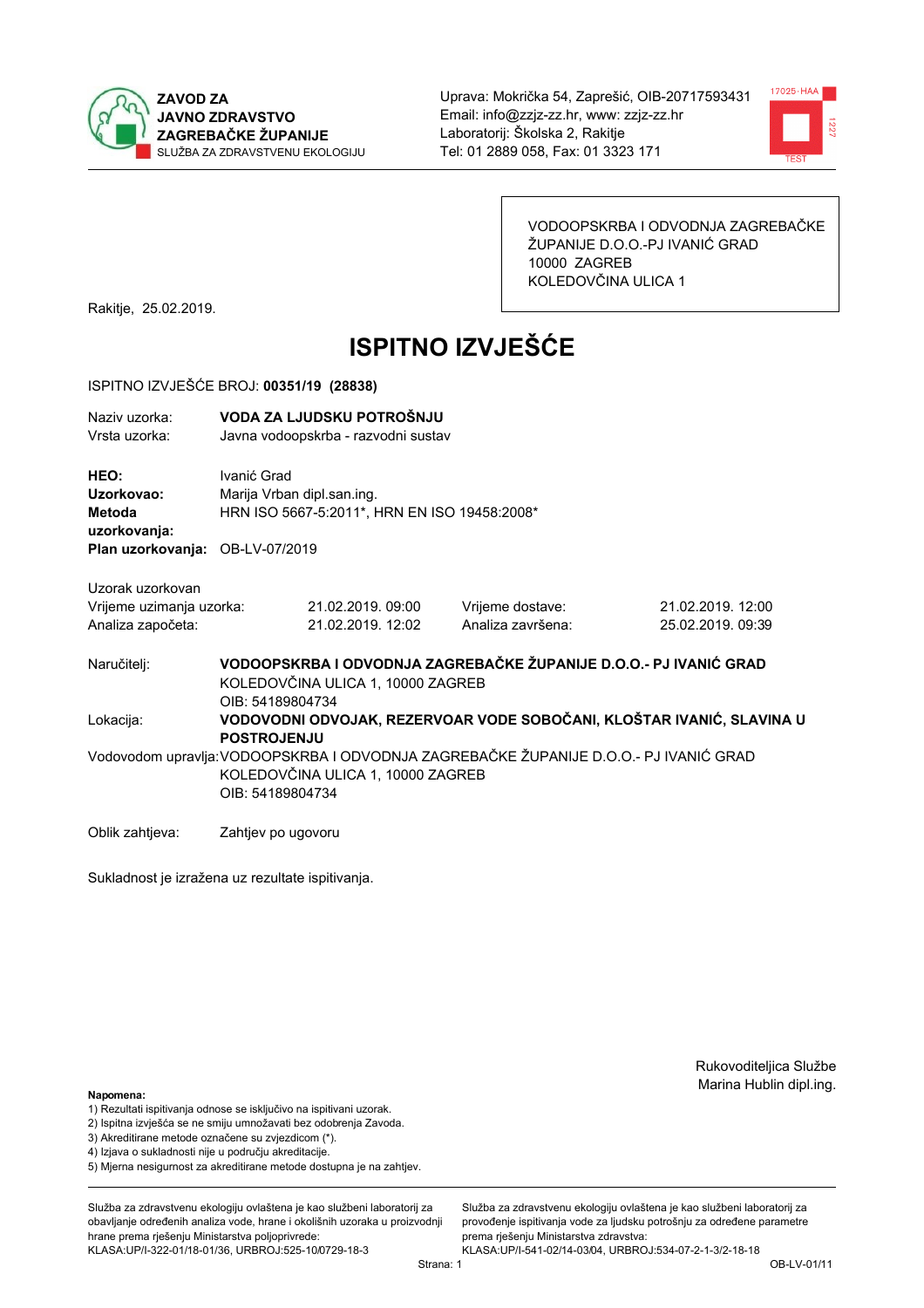



VODOOPSKRBA I ODVODNJA ZAGREBAČKE ŽUPANIJE D.O.O.-PJ IVANIĆ GRAD 10000 ZAGREB KOLEDOVČINA ULICA 1

Rakitje, 25.02.2019.

# **ISPITNO IZVJEŠĆE**

### ISPITNO IZVJEŠĆE BROJ: 00351/19 (28838)

| Naziv uzorka:<br>Vrsta uzorka:                                    |                                                                                                                                                | VODA ZA LJUDSKU POTROŠNJU<br>Javna vodoopskrba - razvodni sustav           |                                       |                                                                       |  |  |
|-------------------------------------------------------------------|------------------------------------------------------------------------------------------------------------------------------------------------|----------------------------------------------------------------------------|---------------------------------------|-----------------------------------------------------------------------|--|--|
| HEO:<br>Uzorkovao:<br>Metoda<br>uzorkovanja:                      | Ivanić Grad                                                                                                                                    | Marija Vrban dipl.san.ing.<br>HRN ISO 5667-5:2011*, HRN EN ISO 19458:2008* |                                       |                                                                       |  |  |
| Plan uzorkovanja: OB-LV-07/2019                                   |                                                                                                                                                |                                                                            |                                       |                                                                       |  |  |
| Uzorak uzorkovan<br>Vrijeme uzimanja uzorka:<br>Analiza započeta: |                                                                                                                                                | 21.02.2019. 09:00<br>21.02.2019. 12:02                                     | Vrijeme dostave:<br>Analiza završena: | 21.02.2019. 12:00<br>25.02.2019. 09:39                                |  |  |
| Naručitelj:                                                       | OIB: 54189804734                                                                                                                               | KOLEDOVČINA ULICA 1, 10000 ZAGREB                                          |                                       | VODOOPSKRBA I ODVODNJA ZAGREBAČKE ŽUPANIJE D.O.O.- PJ IVANIĆ GRAD     |  |  |
| Lokacija:                                                         | <b>POSTROJENJU</b>                                                                                                                             |                                                                            |                                       | VODOVODNI ODVOJAK, REZERVOAR VODE SOBOČANI, KLOŠTAR IVANIĆ, SLAVINA U |  |  |
|                                                                   | Vodovodom upravlja: VODOOPSKRBA I ODVODNJA ZAGREBAČKE ŽUPANIJE D.O.O.- PJ IVANIĆ GRAD<br>KOLEDOVČINA ULICA 1, 10000 ZAGREB<br>OIB: 54189804734 |                                                                            |                                       |                                                                       |  |  |
| Oblik zahtjeva:                                                   | Zahtjev po ugovoru                                                                                                                             |                                                                            |                                       |                                                                       |  |  |

Sukladnost je izražena uz rezultate ispitivanja.

Rukovoditeljica Službe Marina Hublin dipl.ing.

### Napomena:

- 1) Rezultati ispitivanja odnose se isključivo na ispitivani uzorak.
- 2) Ispitna izvješća se ne smiju umnožavati bez odobrenja Zavoda.
- 3) Akreditirane metode označene su zvjezdicom (\*).
- 4) Iziava o sukladnosti nije u području akreditacije.
- 5) Mjerna nesigurnost za akreditirane metode dostupna je na zahtjev.

Služba za zdravstvenu ekologiju ovlaštena je kao službeni laboratorij za obavlianie određenih analiza vode, hrane i okolišnih uzoraka u proizvodniji hrane prema rješenju Ministarstva poljoprivrede: KLASA:UP/I-322-01/18-01/36, URBROJ:525-10/0729-18-3

KLASA:UP/I-541-02/14-03/04, URBROJ:534-07-2-1-3/2-18-18 Strana: 1

prema rješenju Ministarstva zdravstva:

Služba za zdravstvenu ekologiju ovlaštena je kao službeni laboratorij za

provođenie ispitivania vode za liudsku potrošniu za određene parametre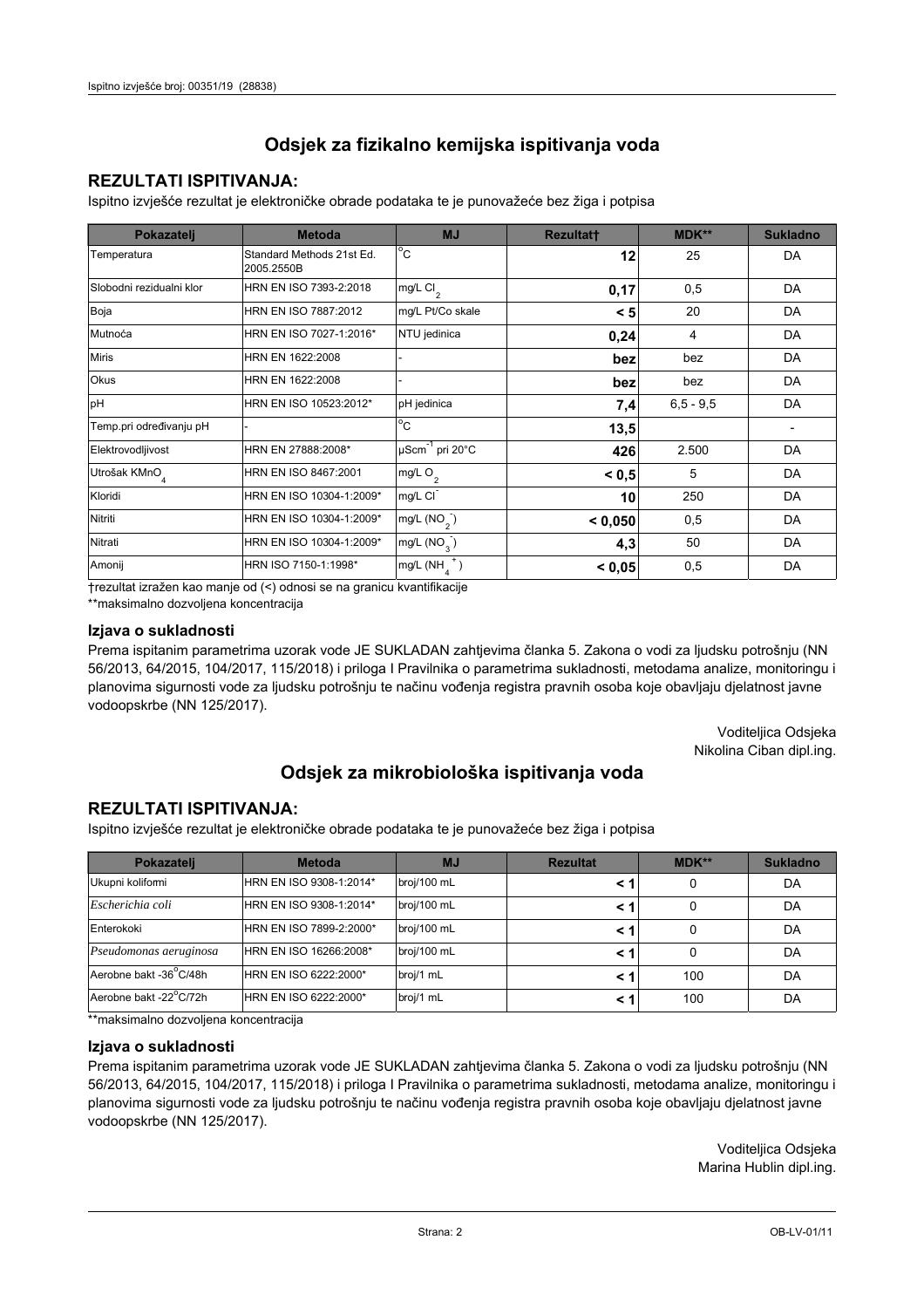### **REZULTATI ISPITIVANJA:**

Ispitno izviešće rezultat je elektroničke obrade podataka te je punovažeće bez žiga i potpisa

| Pokazatelj                | <b>Metoda</b>                           | <b>MJ</b>               | <b>Rezultatt</b> | MDK**         | <b>Sukladno</b> |
|---------------------------|-----------------------------------------|-------------------------|------------------|---------------|-----------------|
| Temperatura               | Standard Methods 21st Ed.<br>2005.2550B | $^{\circ}$ C            | 12               | 25            | DA              |
| Slobodni rezidualni klor  | HRN EN ISO 7393-2:2018                  | $mg/L$ Cl <sub>2</sub>  | 0,17             | 0,5           | DA              |
| Boja                      | HRN EN ISO 7887:2012                    | mg/L Pt/Co skale        | < 5              | 20            | DA              |
| Mutnoća                   | HRN EN ISO 7027-1:2016*                 | NTU jedinica            | 0,24             | 4             | DA              |
| <b>Miris</b>              | HRN EN 1622:2008                        |                         | bez              | bez           | DA              |
| Okus                      | HRN EN 1622:2008                        |                         | bez              | bez           | DA              |
| pH                        | HRN EN ISO 10523:2012*                  | pH jedinica             | 7,4              | $6, 5 - 9, 5$ | DA              |
| Temp.pri određivanju pH   |                                         | $^{\circ}$ C            | 13,5             |               |                 |
| Elektrovodljivost         | HRN EN 27888:2008*                      | µScm-1 pri 20°C         | 426              | 2.500         | DA              |
| Utrošak KMnO <sub>4</sub> | HRN EN ISO 8467:2001                    | mg/L O <sub>2</sub>     | < 0.5            | 5             | DA              |
| Kloridi                   | HRN EN ISO 10304-1:2009*                | mg/L CI                 | 10               | 250           | DA              |
| Nitriti                   | HRN EN ISO 10304-1:2009*                | mg/L $(NO2)$            | < 0.050          | 0,5           | DA              |
| Nitrati                   | HRN EN ISO 10304-1:2009*                | mg/L (NO <sub>3</sub> ) | 4,3              | 50            | DA              |
| Amonij                    | HRN ISO 7150-1:1998*                    | mg/L (NH                | < 0,05           | 0,5           | DA              |

trezultat izražen kao manje od (<) odnosi se na granicu kvantifikacije

\*\*maksimalno dozvoljena koncentracija

### Izjava o sukladnosti

Prema ispitanim parametrima uzorak vode JE SUKLADAN zahtievima članka 5. Zakona o vodi za ljudsku potrošnju (NN 56/2013, 64/2015, 104/2017, 115/2018) i priloga I Pravilnika o parametrima sukladnosti, metodama analize, monitoringu i planovima sigurnosti vode za ljudsku potrošnju te načinu vođenja registra pravnih osoba koje obavljaju djelatnost javne vodoopskrbe (NN 125/2017).

> Voditeljica Odsjeka Nikolina Ciban dipl.ing.

## Odsjek za mikrobiološka ispitivanja voda

### **REZULTATI ISPITIVANJA:**

Ispitno izvješće rezultat je elektroničke obrade podataka te je punovažeće bez žiga i potpisa

| Pokazatelj             | <b>Metoda</b>           | <b>MJ</b>   | <b>Rezultat</b> | <b>MDK**</b> | <b>Sukladno</b> |
|------------------------|-------------------------|-------------|-----------------|--------------|-----------------|
| Ukupni kolifomi        | HRN EN ISO 9308-1:2014* | broj/100 mL |                 | 0            | DA              |
| Escherichia coli       | HRN EN ISO 9308-1:2014* | broj/100 mL | < 1             | 0            | DA              |
| Enterokoki             | HRN EN ISO 7899-2:2000* | broj/100 mL | < '             |              | DA              |
| Pseudomonas aeruginosa | HRN EN ISO 16266:2008*  | broj/100 mL | < 1             | 0            | DA              |
| Aerobne bakt -36 C/48h | HRN EN ISO 6222:2000*   | broj/1 mL   | < '             | 100          | DA              |
| Aerobne bakt -22°C/72h | HRN EN ISO 6222:2000*   | broj/1 mL   | < 1             | 100          | DA              |

\*\* maksimalno dozvoljena koncentracija

### Izjava o sukladnosti

Prema ispitanim parametrima uzorak vode JE SUKLADAN zahtjevima članka 5. Zakona o vodi za ljudsku potrošnju (NN 56/2013, 64/2015, 104/2017, 115/2018) i priloga I Pravilnika o parametrima sukladnosti, metodama analize, monitoringu i planovima sigurnosti vode za ljudsku potrošnju te načinu vođenja registra pravnih osoba koje obavljaju djelatnost javne vodoopskrbe (NN 125/2017).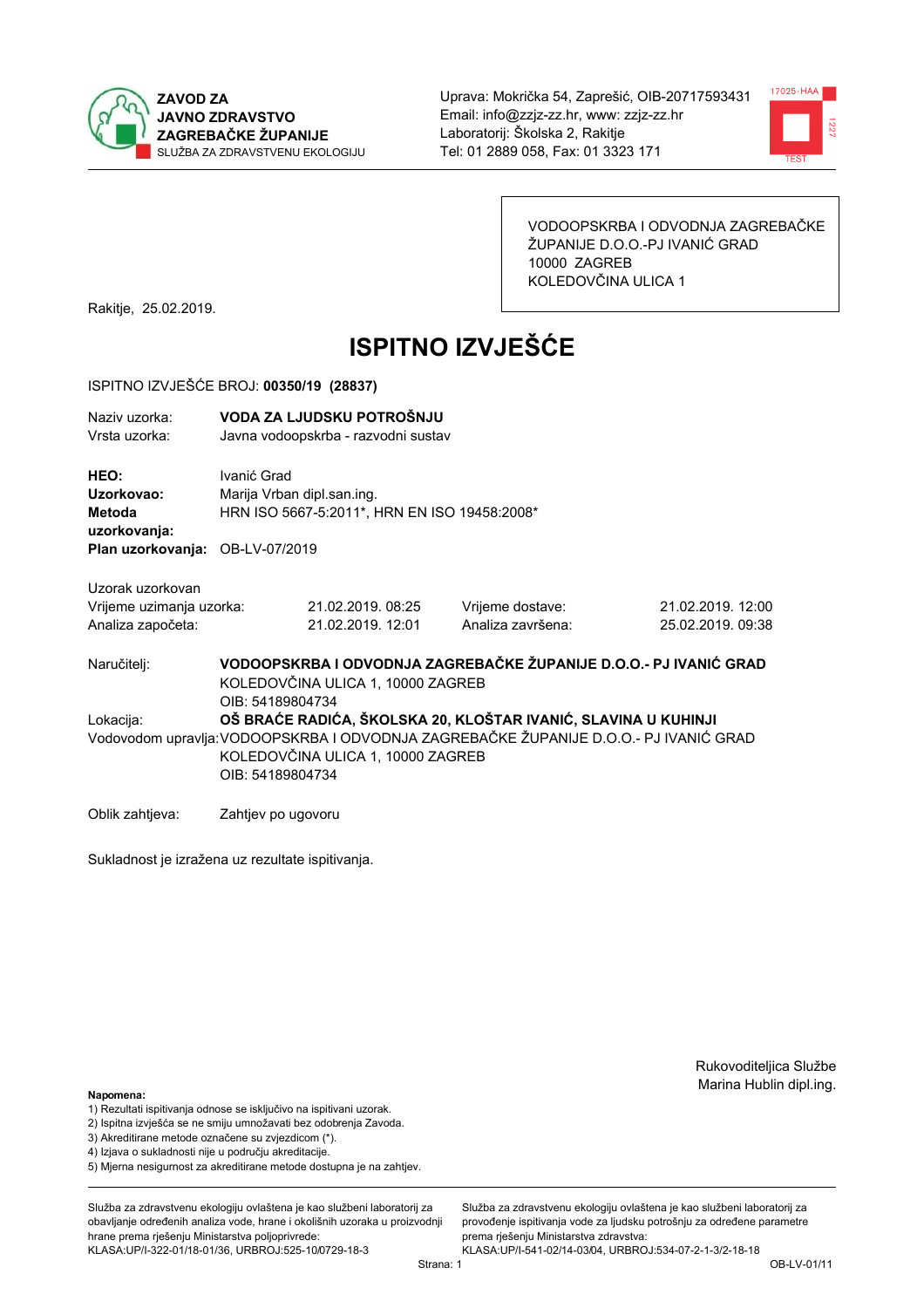



VODOOPSKRBA I ODVODNJA ZAGREBAČKE ŽUPANIJE D.O.O.-PJ IVANIĆ GRAD 10000 ZAGREB KOLEDOVČINA ULICA 1

Rakitje, 25.02.2019.

# **ISPITNO IZVJEŠĆE**

### ISPITNO IZVJEŠĆE BROJ: 00350/19 (28837)

| Naziv uzorka:<br>Vrsta uzorka:                      |                    | VODA ZA LJUDSKU POTROŠNJU<br>Javna vodoopskrba - razvodni sustav                                                                                                                                                                     |                                                                   |                                        |  |  |
|-----------------------------------------------------|--------------------|--------------------------------------------------------------------------------------------------------------------------------------------------------------------------------------------------------------------------------------|-------------------------------------------------------------------|----------------------------------------|--|--|
| HEO:<br>Uzorkovao:<br><b>Metoda</b><br>uzorkovanja: | Ivanić Grad        | Marija Vrban dipl.san.ing.<br>HRN ISO 5667-5:2011*, HRN EN ISO 19458:2008*                                                                                                                                                           |                                                                   |                                        |  |  |
| Plan uzorkovanja: OB-LV-07/2019                     |                    |                                                                                                                                                                                                                                      |                                                                   |                                        |  |  |
| Uzorak uzorkovan                                    |                    |                                                                                                                                                                                                                                      |                                                                   |                                        |  |  |
| Vrijeme uzimanja uzorka:<br>Analiza započeta:       |                    | 21.02.2019.08:25<br>21.02.2019. 12:01                                                                                                                                                                                                | Vrijeme dostave:<br>Analiza završena:                             | 21.02.2019. 12:00<br>25.02.2019, 09:38 |  |  |
| Naručitelj:                                         |                    | KOLEDOVČINA ULICA 1, 10000 ZAGREB                                                                                                                                                                                                    | VODOOPSKRBA I ODVODNJA ZAGREBAČKE ŽUPANIJE D.O.O.- PJ IVANIĆ GRAD |                                        |  |  |
| Lokacija:                                           |                    | OIB: 54189804734<br>OŠ BRAĆE RADIĆA, ŠKOLSKA 20, KLOŠTAR IVANIĆ, SLAVINA U KUHINJI<br>Vodovodom upravlja: VODOOPSKRBA I ODVODNJA ZAGREBAČKE ŽUPANIJE D.O.O.- PJ IVANIĆ GRAD<br>KOLEDOVČINA ULICA 1, 10000 ZAGREB<br>OIB: 54189804734 |                                                                   |                                        |  |  |
| Oblik zahtjeva:                                     | Zahtjev po ugovoru |                                                                                                                                                                                                                                      |                                                                   |                                        |  |  |

Sukladnost je izražena uz rezultate ispitivanja.

Rukovoditeljica Službe Marina Hublin dipl.ing.

#### Napomena:

- 1) Rezultati ispitivanja odnose se isključivo na ispitivani uzorak.
- 2) Ispitna izvješća se ne smiju umnožavati bez odobrenja Zavoda.
- 3) Akreditirane metode označene su zvjezdicom (\*).
- 4) Iziava o sukladnosti nije u području akreditacije.
- 5) Mjerna nesigurnost za akreditirane metode dostupna je na zahtjev.

Služba za zdravstvenu ekologiju ovlaštena je kao službeni laboratorij za obavlianie određenih analiza vode, hrane i okolišnih uzoraka u proizvodniji hrane prema rješenju Ministarstva poljoprivrede: KLASA:UP/I-322-01/18-01/36, URBROJ:525-10/0729-18-3

Služba za zdravstvenu ekologiju ovlaštena je kao službeni laboratorij za provođenie ispitivania vode za liudsku potrošniu za određene parametre prema rješenju Ministarstva zdravstva: KLASA:UP/I-541-02/14-03/04, URBROJ:534-07-2-1-3/2-18-18

Strana: 1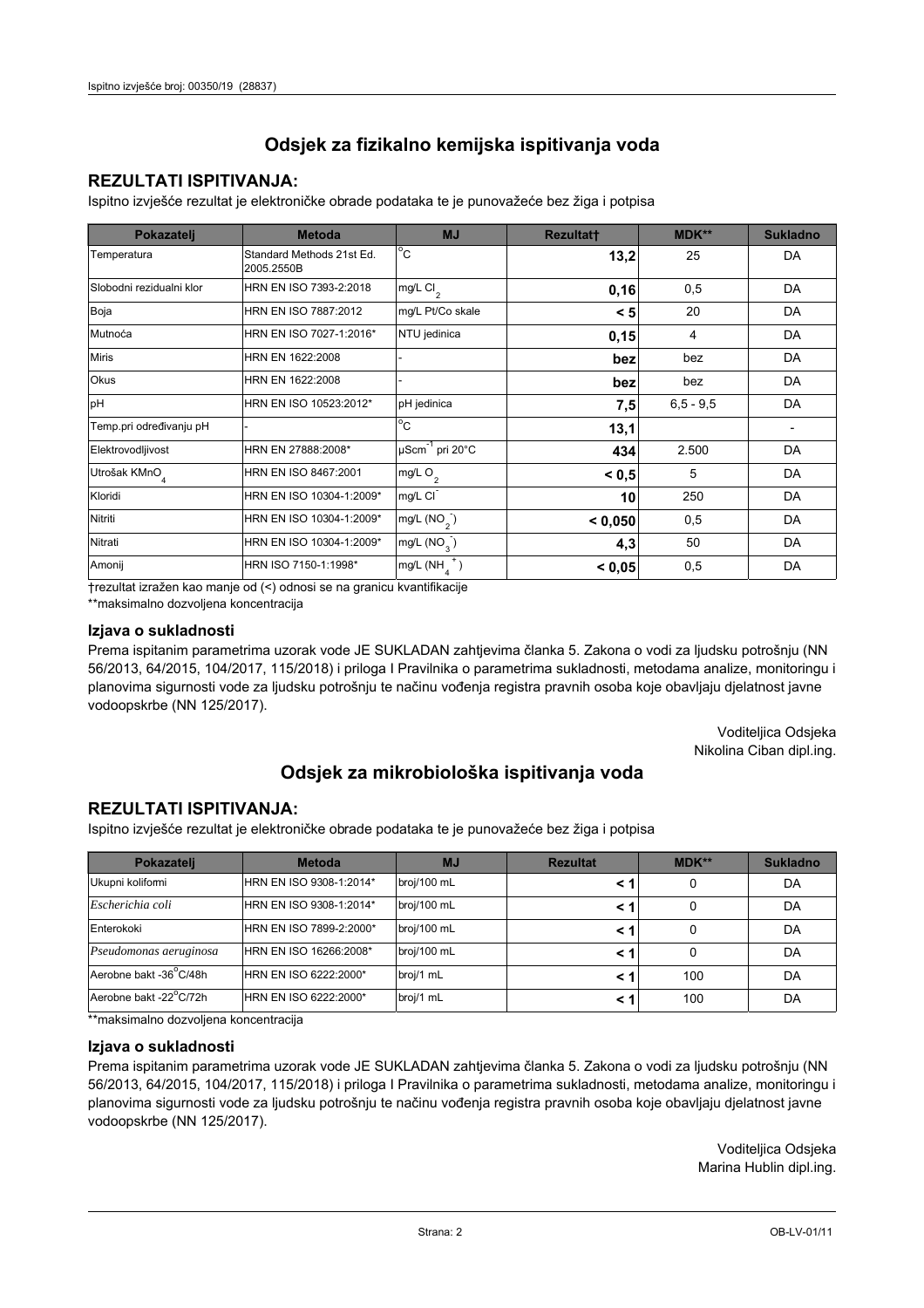### **REZULTATI ISPITIVANJA:**

Ispitno izviešće rezultat je elektroničke obrade podataka te je punovažeće bez žiga i potpisa

| Pokazatelj                | <b>Metoda</b>                           | <b>MJ</b>                   | <b>Rezultatt</b> | <b>MDK**</b>  | <b>Sukladno</b> |
|---------------------------|-----------------------------------------|-----------------------------|------------------|---------------|-----------------|
| Temperatura               | Standard Methods 21st Ed.<br>2005.2550B | $^{\circ}$ C                | 13,2             | 25            | DA              |
| Slobodni rezidualni klor  | HRN EN ISO 7393-2:2018                  | $mg/L$ Cl <sub>2</sub>      | 0,16             | 0,5           | DA              |
| Boja                      | HRN EN ISO 7887:2012                    | mg/L Pt/Co skale            | < 5              | 20            | DA              |
| Mutnoća                   | HRN EN ISO 7027-1:2016*                 | NTU jedinica                | 0,15             | 4             | DA              |
| <b>Miris</b>              | HRN EN 1622:2008                        |                             | bez              | bez           | DA              |
| <b>Okus</b>               | HRN EN 1622:2008                        |                             | bez              | bez           | DA              |
| pH                        | HRN EN ISO 10523:2012*                  | pH jedinica                 | 7,5              | $6, 5 - 9, 5$ | DA              |
| Temp.pri određivanju pH   |                                         | $\overline{C}$              | 13,1             |               |                 |
| Elektrovodljivost         | HRN EN 27888:2008*                      | µScm <sup>-1</sup> pri 20°C | 434              | 2.500         | DA              |
| Utrošak KMnO <sub>4</sub> | HRN EN ISO 8467:2001                    | mg/L O <sub>2</sub>         | < 0, 5           | 5             | DA              |
| Kloridi                   | HRN EN ISO 10304-1:2009*                | mg/L CI                     | 10               | 250           | DA              |
| Nitriti                   | HRN EN ISO 10304-1:2009*                | mg/L $(NO2)$                | < 0,050          | 0,5           | DA              |
| Nitrati                   | HRN EN ISO 10304-1:2009*                | mg/L $(NO_2)$               | 4,3              | 50            | DA              |
| Amonij                    | HRN ISO 7150-1:1998*                    | mg/L (NH                    | < 0,05           | 0,5           | DA              |

trezultat izražen kao manje od (<) odnosi se na granicu kvantifikacije

\*\*maksimalno dozvoljena koncentracija

### Izjava o sukladnosti

Prema ispitanim parametrima uzorak vode JE SUKLADAN zahtievima članka 5. Zakona o vodi za ljudsku potrošnju (NN 56/2013, 64/2015, 104/2017, 115/2018) i priloga I Pravilnika o parametrima sukladnosti, metodama analize, monitoringu i planovima sigurnosti vode za ljudsku potrošnju te načinu vođenja registra pravnih osoba koje obavljaju djelatnost javne vodoopskrbe (NN 125/2017).

> Voditeljica Odsjeka Nikolina Ciban dipl.ing.

## Odsjek za mikrobiološka ispitivanja voda

### **REZULTATI ISPITIVANJA:**

Ispitno izvješće rezultat je elektroničke obrade podataka te je punovažeće bez žiga i potpisa

| Pokazatelj             | <b>Metoda</b>           | <b>MJ</b>   | <b>Rezultat</b> | <b>MDK**</b> | <b>Sukladno</b> |
|------------------------|-------------------------|-------------|-----------------|--------------|-----------------|
| Ukupni kolifomi        | HRN EN ISO 9308-1:2014* | broj/100 mL |                 | 0            | DA              |
| Escherichia coli       | HRN EN ISO 9308-1:2014* | broj/100 mL | < 1             | 0            | DA              |
| Enterokoki             | HRN EN ISO 7899-2:2000* | broj/100 mL | < '             |              | DA              |
| Pseudomonas aeruginosa | HRN EN ISO 16266:2008*  | broj/100 mL | < 1             | 0            | DA              |
| Aerobne bakt -36 C/48h | HRN EN ISO 6222:2000*   | broj/1 mL   | < '             | 100          | DA              |
| Aerobne bakt -22°C/72h | HRN EN ISO 6222:2000*   | broj/1 mL   | < 1             | 100          | DA              |

\*\* maksimalno dozvoljena koncentracija

### Izjava o sukladnosti

Prema ispitanim parametrima uzorak vode JE SUKLADAN zahtjevima članka 5. Zakona o vodi za ljudsku potrošnju (NN 56/2013, 64/2015, 104/2017, 115/2018) i priloga I Pravilnika o parametrima sukladnosti, metodama analize, monitoringu i planovima sigurnosti vode za ljudsku potrošnju te načinu vođenja registra pravnih osoba koje obavljaju djelatnost javne vodoopskrbe (NN 125/2017).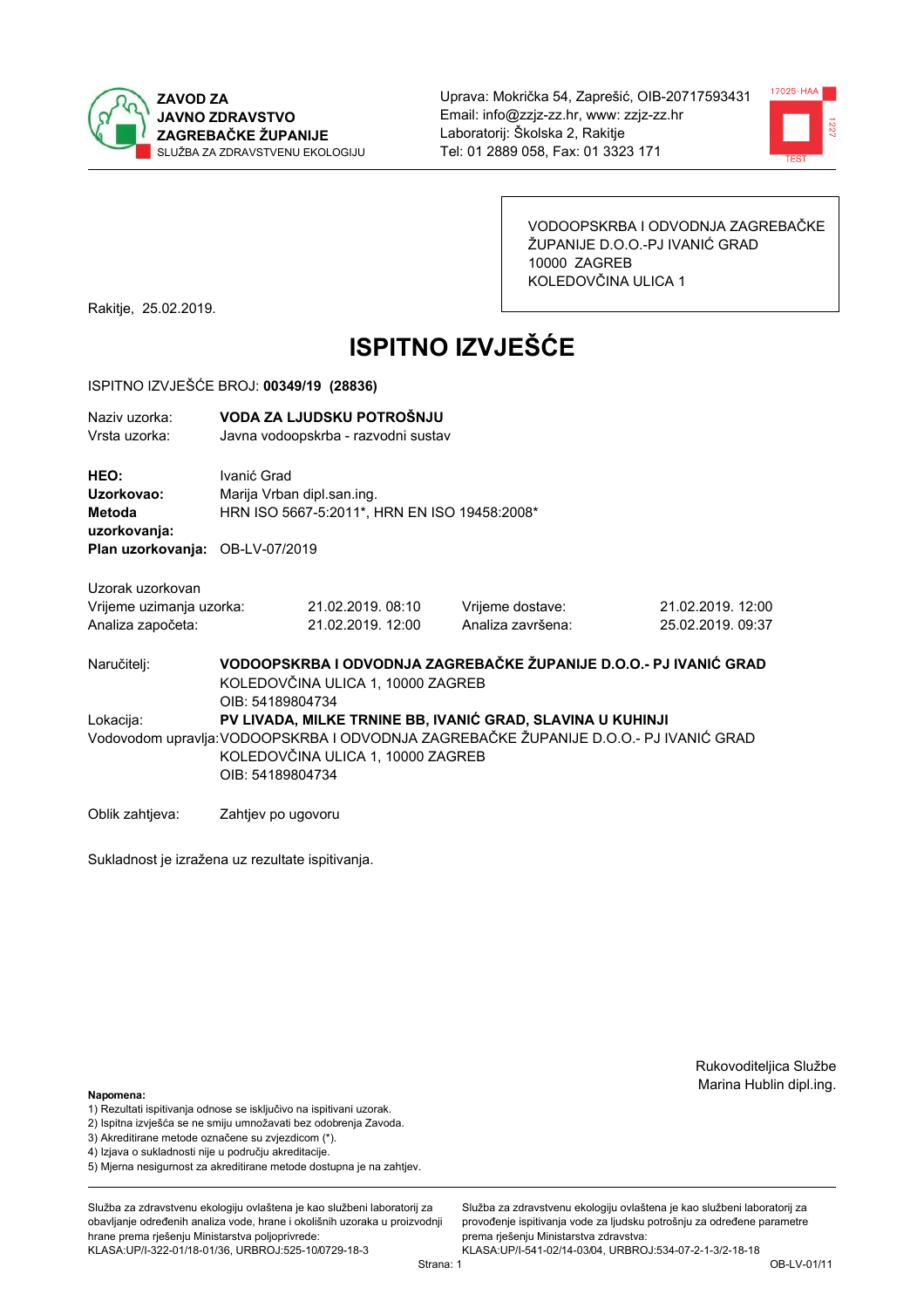



VODOOPSKRBA I ODVODNJA ZAGREBAČKE ŽUPANIJE D.O.O.-PJ IVANIĆ GRAD 10000 ZAGREB KOLEDOVČINA ULICA 1

Rakitje, 25.02.2019.

# **ISPITNO IZVJEŠĆE**

### ISPITNO IZVJEŠĆE BROJ: 00349/19 (28836)

| Naziv uzorka:<br>Vrsta uzorka:                                    |                                                                                                                                                                                                              | VODA ZA LJUDSKU POTROŠNJU<br>Javna vodoopskrba - razvodni sustav           |                                                                   |                                        |  |  |
|-------------------------------------------------------------------|--------------------------------------------------------------------------------------------------------------------------------------------------------------------------------------------------------------|----------------------------------------------------------------------------|-------------------------------------------------------------------|----------------------------------------|--|--|
| HEO:<br>Uzorkovao:<br>Metoda<br>uzorkovanja:                      | Ivanić Grad                                                                                                                                                                                                  | Marija Vrban dipl.san.ing.<br>HRN ISO 5667-5:2011*, HRN EN ISO 19458:2008* |                                                                   |                                        |  |  |
| Plan uzorkovanja: OB-LV-07/2019                                   |                                                                                                                                                                                                              |                                                                            |                                                                   |                                        |  |  |
| Uzorak uzorkovan<br>Vrijeme uzimanja uzorka:<br>Analiza započeta: |                                                                                                                                                                                                              | 21.02.2019.08:10<br>21.02.2019. 12:00                                      | Vrijeme dostave:<br>Analiza završena:                             | 21.02.2019. 12:00<br>25.02.2019. 09:37 |  |  |
| Naručitelj:                                                       | OIB: 54189804734                                                                                                                                                                                             | KOLEDOVČINA ULICA 1, 10000 ZAGREB                                          | VODOOPSKRBA I ODVODNJA ZAGREBAČKE ŽUPANIJE D.O.O.- PJ IVANIĆ GRAD |                                        |  |  |
| Lokacija:                                                         | PV LIVADA, MILKE TRNINE BB, IVANIĆ GRAD, SLAVINA U KUHINJI<br>Vodovodom upravlja: VODOOPSKRBA I ODVODNJA ZAGREBAČKE ŽUPANIJE D.O.O.- PJ IVANIĆ GRAD<br>KOLEDOVČINA ULICA 1, 10000 ZAGREB<br>OIB: 54189804734 |                                                                            |                                                                   |                                        |  |  |
| Oblik zahtjeva:                                                   | Zahtjev po ugovoru                                                                                                                                                                                           |                                                                            |                                                                   |                                        |  |  |

Sukladnost je izražena uz rezultate ispitivanja.

Rukovoditeljica Službe Marina Hublin dipl.ing.

#### Napomena:

- 1) Rezultati ispitivanja odnose se isključivo na ispitivani uzorak.
- 2) Ispitna izvješća se ne smiju umnožavati bez odobrenja Zavoda.
- 3) Akreditirane metode označene su zvjezdicom (\*).
- 4) Iziava o sukladnosti nije u području akreditacije.
- 5) Mjerna nesigurnost za akreditirane metode dostupna je na zahtjev.

Služba za zdravstvenu ekologiju ovlaštena je kao službeni laboratorij za obavlianie određenih analiza vode, hrane i okolišnih uzoraka u proizvodniji hrane prema rješenju Ministarstva poljoprivrede: KLASA:UP/I-322-01/18-01/36, URBROJ:525-10/0729-18-3

Služba za zdravstvenu ekologiju ovlaštena je kao službeni laboratorij za provođenie ispitivania vode za liudsku potrošniu za određene parametre prema rješenju Ministarstva zdravstva: KLASA:UP/I-541-02/14-03/04, URBROJ:534-07-2-1-3/2-18-18

Strana: 1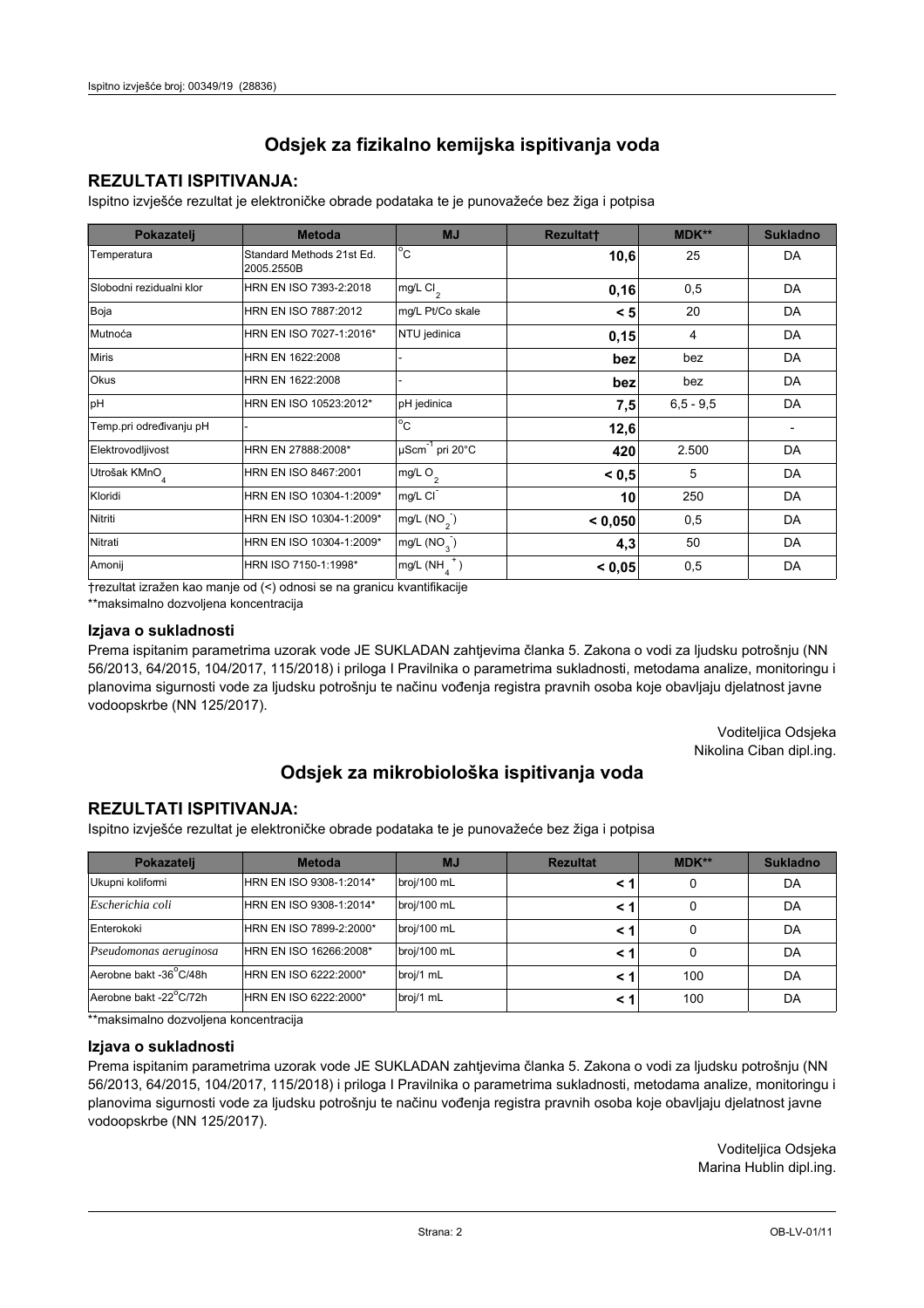### **REZULTATI ISPITIVANJA:**

Ispitno izviešće rezultat je elektroničke obrade podataka te je punovažeće bez žiga i potpisa

| Pokazatelj                | <b>Metoda</b>                           | <b>MJ</b>               | <b>Rezultatt</b> | <b>MDK**</b>  | <b>Sukladno</b> |
|---------------------------|-----------------------------------------|-------------------------|------------------|---------------|-----------------|
| Temperatura               | Standard Methods 21st Ed.<br>2005.2550B | $^{\circ}$ C            | 10,6             | 25            | DA              |
| Slobodni rezidualni klor  | HRN EN ISO 7393-2:2018                  | $mg/L$ Cl <sub>2</sub>  | 0, 16            | 0,5           | DA              |
| Boja                      | HRN EN ISO 7887:2012                    | mg/L Pt/Co skale        | < 5              | 20            | DA              |
| Mutnoća                   | HRN EN ISO 7027-1:2016*                 | NTU jedinica            | 0,15             | 4             | DA              |
| <b>Miris</b>              | HRN EN 1622:2008                        |                         | bez              | bez           | DA              |
| Okus                      | HRN EN 1622:2008                        |                         | bez              | bez           | DA              |
| pH                        | HRN EN ISO 10523:2012*                  | pH jedinica             | 7,5              | $6, 5 - 9, 5$ | DA              |
| Temp.pri određivanju pH   |                                         | $^{\circ}$ C            | 12,6             |               |                 |
| Elektrovodljivost         | HRN EN 27888:2008*                      | µScm-1 pri 20°C         | 420              | 2.500         | DA              |
| Utrošak KMnO <sub>4</sub> | HRN EN ISO 8467:2001                    | mg/L O <sub>2</sub>     | < 0.5            | 5             | DA              |
| Kloridi                   | HRN EN ISO 10304-1:2009*                | mg/L CI                 | 10               | 250           | DA              |
| Nitriti                   | HRN EN ISO 10304-1:2009*                | mg/L $(NO2)$            | < 0.050          | 0,5           | DA              |
| Nitrati                   | HRN EN ISO 10304-1:2009*                | mg/L (NO <sub>3</sub> ) | 4,3              | 50            | DA              |
| Amonij                    | HRN ISO 7150-1:1998*                    | mg/L (NH                | < 0,05           | 0,5           | DA              |

trezultat izražen kao manje od (<) odnosi se na granicu kvantifikacije

\*\*maksimalno dozvoljena koncentracija

#### Izjava o sukladnosti

Prema ispitanim parametrima uzorak vode JE SUKLADAN zahtievima članka 5. Zakona o vodi za ljudsku potrošnju (NN 56/2013, 64/2015, 104/2017, 115/2018) i priloga I Pravilnika o parametrima sukladnosti, metodama analize, monitoringu i planovima sigurnosti vode za ljudsku potrošnju te načinu vođenja registra pravnih osoba koje obavljaju djelatnost javne vodoopskrbe (NN 125/2017).

> Voditeljica Odsjeka Nikolina Ciban dipl.ing.

## Odsjek za mikrobiološka ispitivanja voda

### **REZULTATI ISPITIVANJA:**

Ispitno izvješće rezultat je elektroničke obrade podataka te je punovažeće bez žiga i potpisa

| Pokazatelj             | <b>Metoda</b>           | <b>MJ</b>   | <b>Rezultat</b> | $MDK**$ | <b>Sukladno</b> |
|------------------------|-------------------------|-------------|-----------------|---------|-----------------|
| Ukupni kolifomi        | HRN EN ISO 9308-1:2014* | broj/100 mL |                 | 0       | DA              |
| Escherichia coli       | HRN EN ISO 9308-1:2014* | broj/100 mL |                 | 0       | DA              |
| Enterokoki             | HRN EN ISO 7899-2:2000* | broj/100 mL |                 | 0       | DA              |
| Pseudomonas aeruginosa | HRN EN ISO 16266:2008*  | broj/100 mL | < 1             | 0       | DA              |
| Aerobne bakt -36 C/48h | HRN EN ISO 6222:2000*   | broj/1 mL   |                 | 100     | DA              |
| Aerobne bakt -22°C/72h | HRN EN ISO 6222:2000*   | broj/1 mL   |                 | 100     | DA              |

\*\* maksimalno dozvoljena koncentracija

#### Izjava o sukladnosti

Prema ispitanim parametrima uzorak vode JE SUKLADAN zahtjevima članka 5. Zakona o vodi za ljudsku potrošnju (NN 56/2013, 64/2015, 104/2017, 115/2018) i priloga I Pravilnika o parametrima sukladnosti, metodama analize, monitoringu i planovima sigurnosti vode za ljudsku potrošnju te načinu vođenja registra pravnih osoba koje obavljaju djelatnost javne vodoopskrbe (NN 125/2017).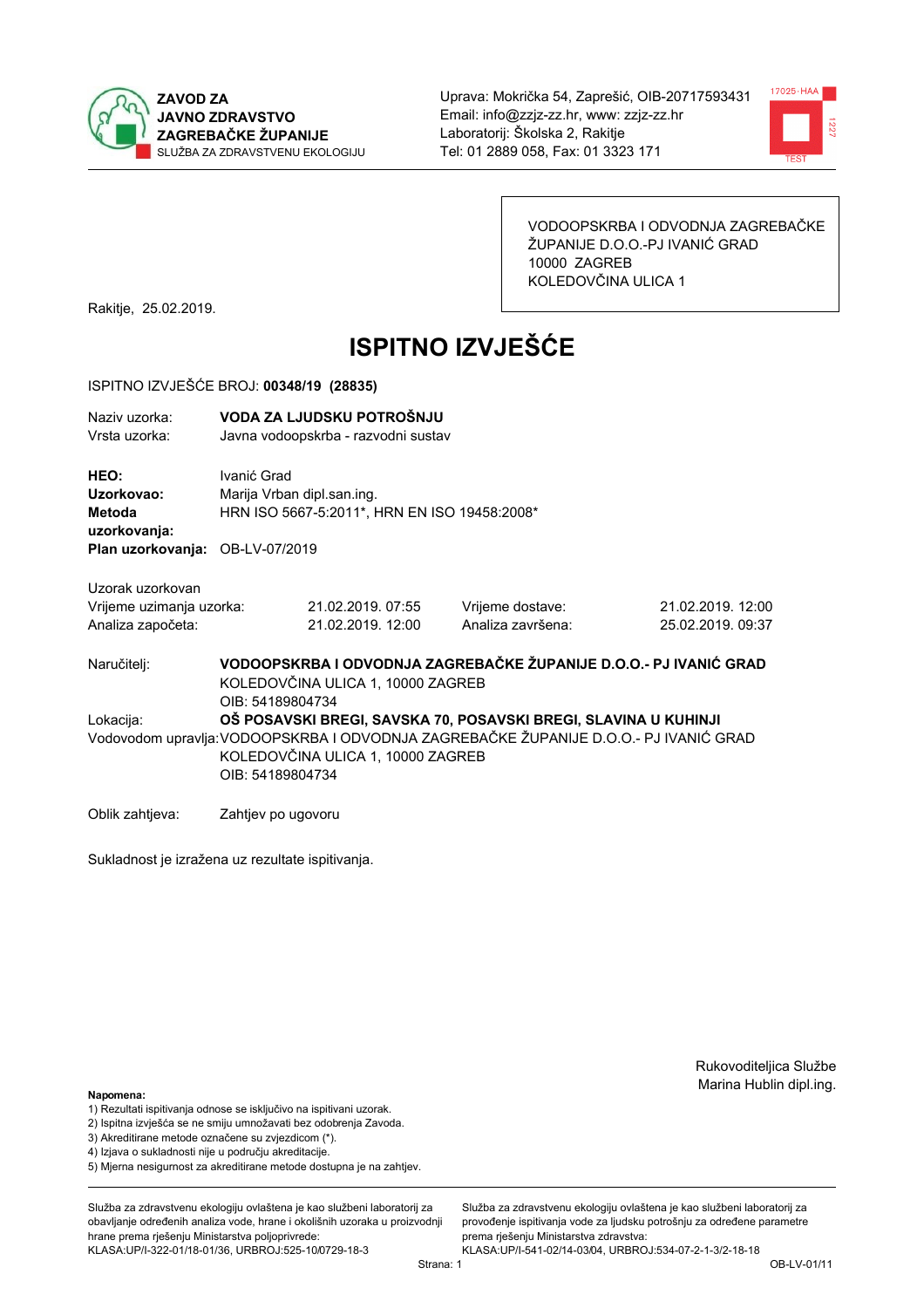



VODOOPSKRBA I ODVODNJA ZAGREBAČKE ŽUPANIJE D.O.O.-PJ IVANIĆ GRAD 10000 ZAGREB KOLEDOVČINA ULICA 1

Rakitje, 25.02.2019.

# **ISPITNO IZVJEŠĆE**

### ISPITNO IZVJEŠĆE BROJ: 00348/19 (28835)

| Naziv uzorka:<br>Vrsta uzorka:                                    |                                                                                                                            | VODA ZA LJUDSKU POTROŠNJU<br>Javna vodoopskrba - razvodni sustav           |                                                                                                                                                          |                                        |  |  |
|-------------------------------------------------------------------|----------------------------------------------------------------------------------------------------------------------------|----------------------------------------------------------------------------|----------------------------------------------------------------------------------------------------------------------------------------------------------|----------------------------------------|--|--|
| HEO:<br>Uzorkovao:<br>Metoda<br>uzorkovanja:                      | Ivanić Grad                                                                                                                | Marija Vrban dipl.san.ing.<br>HRN ISO 5667-5:2011*, HRN EN ISO 19458:2008* |                                                                                                                                                          |                                        |  |  |
| Plan uzorkovanja: OB-LV-07/2019                                   |                                                                                                                            |                                                                            |                                                                                                                                                          |                                        |  |  |
| Uzorak uzorkovan<br>Vrijeme uzimanja uzorka:<br>Analiza započeta: |                                                                                                                            | 21.02.2019. 07:55<br>21.02.2019. 12:00                                     | Vrijeme dostave:<br>Analiza završena:                                                                                                                    | 21.02.2019. 12:00<br>25.02.2019. 09:37 |  |  |
| Naručiteli:                                                       | VODOOPSKRBA I ODVODNJA ZAGREBAČKE ŽUPANIJE D.O.O.- PJ IVANIĆ GRAD<br>KOLEDOVČINA ULICA 1, 10000 ZAGREB<br>OIB: 54189804734 |                                                                            |                                                                                                                                                          |                                        |  |  |
| Lokacija:                                                         | OIB: 54189804734                                                                                                           | KOLEDOVČINA ULICA 1, 10000 ZAGREB                                          | OŠ POSAVSKI BREGI, SAVSKA 70, POSAVSKI BREGI, SLAVINA U KUHINJI<br>Vodovodom upravlja: VODOOPSKRBA I ODVODNJA ZAGREBAČKE ŽUPANIJE D.O.O.- PJ IVANIĆ GRAD |                                        |  |  |

Oblik zahtjeva: Zahtjev po ugovoru

Sukladnost je izražena uz rezultate ispitivanja.

Rukovoditeljica Službe Marina Hublin dipl.ing.

#### Napomena:

- 1) Rezultati ispitivanja odnose se isključivo na ispitivani uzorak.
- 2) Ispitna izvješća se ne smiju umnožavati bez odobrenja Zavoda.
- 3) Akreditirane metode označene su zvjezdicom (\*).
- 4) Iziava o sukladnosti nije u području akreditacije.
- 5) Mjerna nesigurnost za akreditirane metode dostupna je na zahtjev.

Služba za zdravstvenu ekologiju ovlaštena je kao službeni laboratorij za obavlianie određenih analiza vode, hrane i okolišnih uzoraka u proizvodniji hrane prema rješenju Ministarstva poljoprivrede: KLASA:UP/I-322-01/18-01/36, URBROJ:525-10/0729-18-3

Služba za zdravstvenu ekologiju ovlaštena je kao službeni laboratorij za provođenie ispitivania vode za liudsku potrošniu za određene parametre prema rješenju Ministarstva zdravstva:

KLASA:UP/I-541-02/14-03/04, URBROJ:534-07-2-1-3/2-18-18